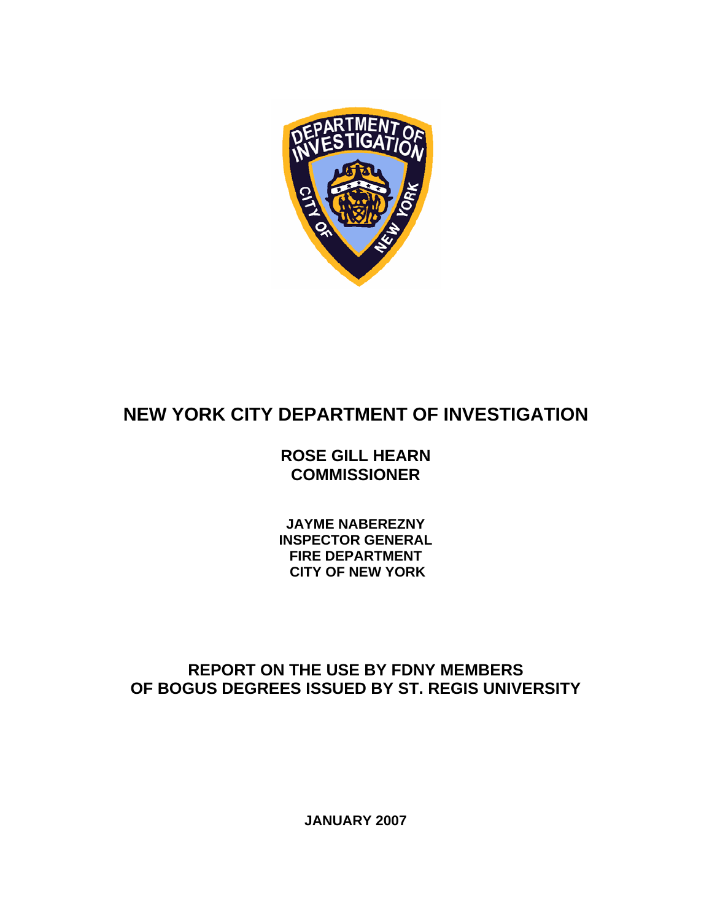

# **NEW YORK CITY DEPARTMENT OF INVESTIGATION**

# **ROSE GILL HEARN COMMISSIONER**

**JAYME NABEREZNY INSPECTOR GENERAL FIRE DEPARTMENT CITY OF NEW YORK** 

# **REPORT ON THE USE BY FDNY MEMBERS OF BOGUS DEGREES ISSUED BY ST. REGIS UNIVERSITY**

**JANUARY 2007**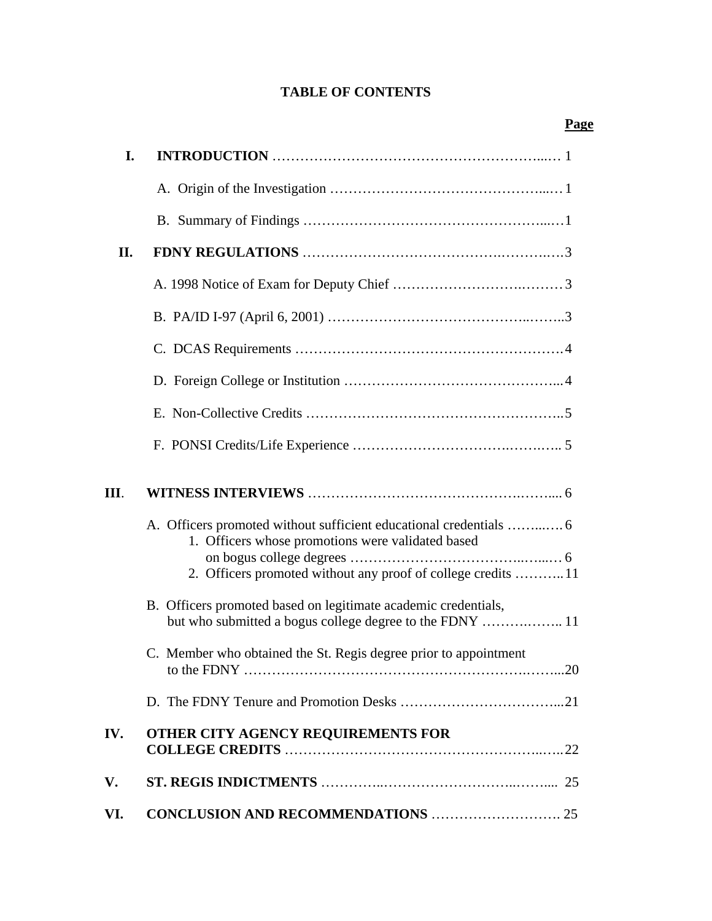# **TABLE OF CONTENTS**

| I.  |                                                                                                                            |
|-----|----------------------------------------------------------------------------------------------------------------------------|
|     |                                                                                                                            |
|     |                                                                                                                            |
| II. |                                                                                                                            |
|     |                                                                                                                            |
|     |                                                                                                                            |
|     |                                                                                                                            |
|     |                                                                                                                            |
|     |                                                                                                                            |
|     |                                                                                                                            |
| Ш.  |                                                                                                                            |
|     | A. Officers promoted without sufficient educational credentials  6<br>1. Officers whose promotions were validated based    |
|     | 2. Officers promoted without any proof of college credits 11                                                               |
|     | B. Officers promoted based on legitimate academic credentials,<br>but who submitted a bogus college degree to the FDNY  11 |
|     | C. Member who obtained the St. Regis degree prior to appointment                                                           |
|     |                                                                                                                            |
| IV. | OTHER CITY AGENCY REQUIREMENTS FOR                                                                                         |
| V.  |                                                                                                                            |
| VI. |                                                                                                                            |

# **Page**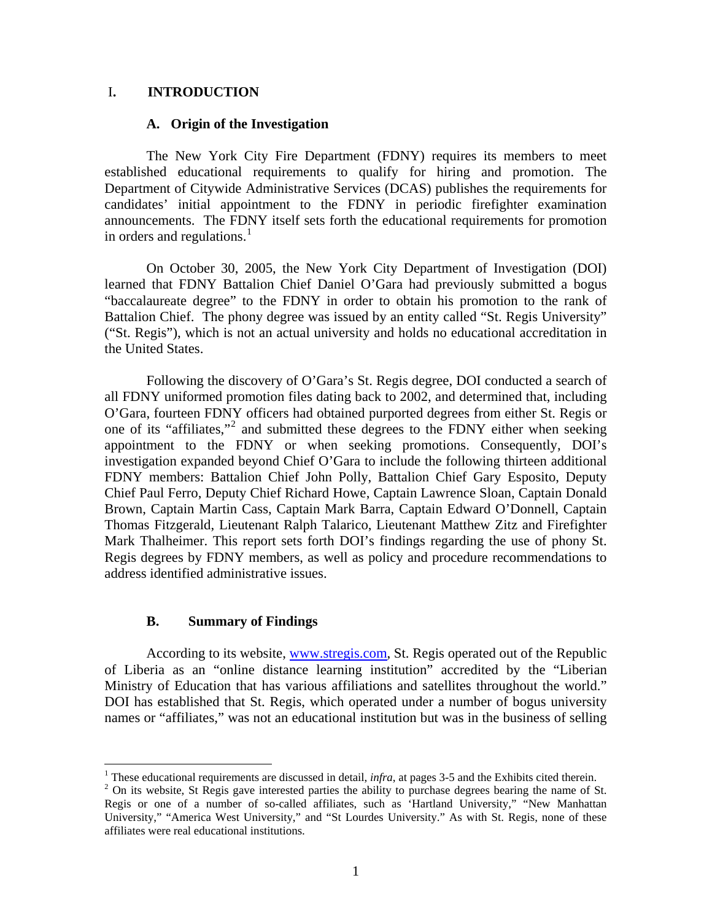# I**. INTRODUCTION**

## **A. Origin of the Investigation**

 The New York City Fire Department (FDNY) requires its members to meet established educational requirements to qualify for hiring and promotion. The Department of Citywide Administrative Services (DCAS) publishes the requirements for candidates' initial appointment to the FDNY in periodic firefighter examination announcements. The FDNY itself sets forth the educational requirements for promotion in orders and regulations. $<sup>1</sup>$  $<sup>1</sup>$  $<sup>1</sup>$ </sup>

On October 30, 2005, the New York City Department of Investigation (DOI) learned that FDNY Battalion Chief Daniel O'Gara had previously submitted a bogus "baccalaureate degree" to the FDNY in order to obtain his promotion to the rank of Battalion Chief. The phony degree was issued by an entity called "St. Regis University" ("St. Regis"), which is not an actual university and holds no educational accreditation in the United States.

 Following the discovery of O'Gara's St. Regis degree, DOI conducted a search of all FDNY uniformed promotion files dating back to 2002, and determined that, including O'Gara, fourteen FDNY officers had obtained purported degrees from either St. Regis or one of its "affiliates,"<sup>[2](#page-2-1)</sup> and submitted these degrees to the FDNY either when seeking appointment to the FDNY or when seeking promotions. Consequently, DOI's investigation expanded beyond Chief O'Gara to include the following thirteen additional FDNY members: Battalion Chief John Polly, Battalion Chief Gary Esposito, Deputy Chief Paul Ferro, Deputy Chief Richard Howe, Captain Lawrence Sloan, Captain Donald Brown, Captain Martin Cass, Captain Mark Barra, Captain Edward O'Donnell, Captain Thomas Fitzgerald, Lieutenant Ralph Talarico, Lieutenant Matthew Zitz and Firefighter Mark Thalheimer. This report sets forth DOI's findings regarding the use of phony St. Regis degrees by FDNY members, as well as policy and procedure recommendations to address identified administrative issues.

## **B. Summary of Findings**

 $\overline{a}$ 

 According to its website, [www.stregis.com,](http://www.stregis.com/) St. Regis operated out of the Republic of Liberia as an "online distance learning institution" accredited by the "Liberian Ministry of Education that has various affiliations and satellites throughout the world." DOI has established that St. Regis, which operated under a number of bogus university names or "affiliates," was not an educational institution but was in the business of selling

<sup>&</sup>lt;sup>1</sup> These educational requirements are discussed in detail, *infra*, at pages 3-5 and the Exhibits cited therein. <sup>2</sup> On its uphote. St Bagis gave interested parties the objitute purphese degrees begring the name of S

<span id="page-2-1"></span><span id="page-2-0"></span><sup>&</sup>lt;sup>2</sup> On its website, St Regis gave interested parties the ability to purchase degrees bearing the name of St. Regis or one of a number of so-called affiliates, such as 'Hartland University," "New Manhattan University," "America West University," and "St Lourdes University." As with St. Regis, none of these affiliates were real educational institutions.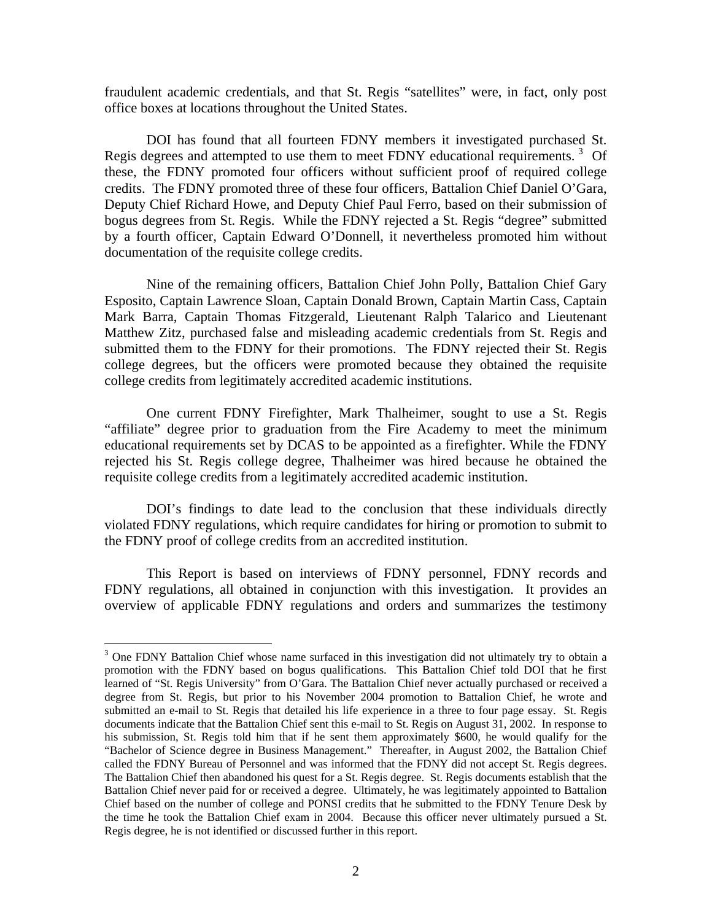fraudulent academic credentials, and that St. Regis "satellites" were, in fact, only post office boxes at locations throughout the United States.

 DOI has found that all fourteen FDNY members it investigated purchased St. Regis degrees and attempted to use them to meet FDNY educational requirements.<sup>[3](#page-3-0)</sup> Of these, the FDNY promoted four officers without sufficient proof of required college credits. The FDNY promoted three of these four officers, Battalion Chief Daniel O'Gara, Deputy Chief Richard Howe, and Deputy Chief Paul Ferro, based on their submission of bogus degrees from St. Regis. While the FDNY rejected a St. Regis "degree" submitted by a fourth officer, Captain Edward O'Donnell, it nevertheless promoted him without documentation of the requisite college credits.

 Nine of the remaining officers, Battalion Chief John Polly, Battalion Chief Gary Esposito, Captain Lawrence Sloan, Captain Donald Brown, Captain Martin Cass, Captain Mark Barra, Captain Thomas Fitzgerald, Lieutenant Ralph Talarico and Lieutenant Matthew Zitz, purchased false and misleading academic credentials from St. Regis and submitted them to the FDNY for their promotions. The FDNY rejected their St. Regis college degrees, but the officers were promoted because they obtained the requisite college credits from legitimately accredited academic institutions.

 One current FDNY Firefighter, Mark Thalheimer, sought to use a St. Regis "affiliate" degree prior to graduation from the Fire Academy to meet the minimum educational requirements set by DCAS to be appointed as a firefighter. While the FDNY rejected his St. Regis college degree, Thalheimer was hired because he obtained the requisite college credits from a legitimately accredited academic institution.

 DOI's findings to date lead to the conclusion that these individuals directly violated FDNY regulations, which require candidates for hiring or promotion to submit to the FDNY proof of college credits from an accredited institution.

 This Report is based on interviews of FDNY personnel, FDNY records and FDNY regulations, all obtained in conjunction with this investigation. It provides an overview of applicable FDNY regulations and orders and summarizes the testimony

 $\overline{a}$ 

<span id="page-3-0"></span><sup>&</sup>lt;sup>3</sup> One FDNY Battalion Chief whose name surfaced in this investigation did not ultimately try to obtain a promotion with the FDNY based on bogus qualifications. This Battalion Chief told DOI that he first learned of "St. Regis University" from O'Gara. The Battalion Chief never actually purchased or received a degree from St. Regis, but prior to his November 2004 promotion to Battalion Chief, he wrote and submitted an e-mail to St. Regis that detailed his life experience in a three to four page essay. St. Regis documents indicate that the Battalion Chief sent this e-mail to St. Regis on August 31, 2002. In response to his submission, St. Regis told him that if he sent them approximately \$600, he would qualify for the "Bachelor of Science degree in Business Management." Thereafter, in August 2002, the Battalion Chief called the FDNY Bureau of Personnel and was informed that the FDNY did not accept St. Regis degrees. The Battalion Chief then abandoned his quest for a St. Regis degree. St. Regis documents establish that the Battalion Chief never paid for or received a degree. Ultimately, he was legitimately appointed to Battalion Chief based on the number of college and PONSI credits that he submitted to the FDNY Tenure Desk by the time he took the Battalion Chief exam in 2004. Because this officer never ultimately pursued a St. Regis degree, he is not identified or discussed further in this report.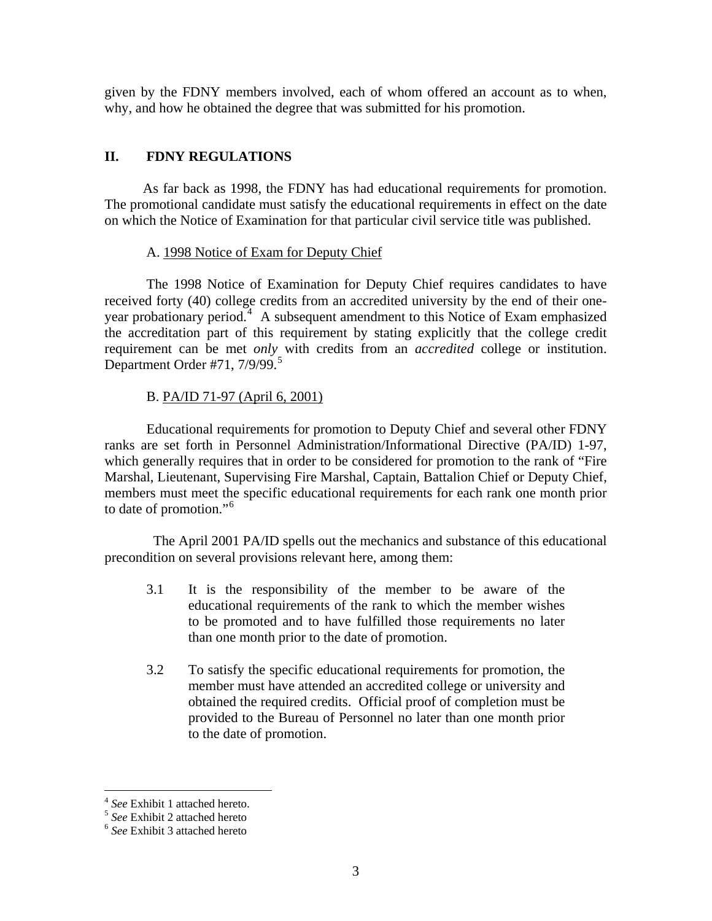given by the FDNY members involved, each of whom offered an account as to when, why, and how he obtained the degree that was submitted for his promotion.

# **II. FDNY REGULATIONS**

 As far back as 1998, the FDNY has had educational requirements for promotion. The promotional candidate must satisfy the educational requirements in effect on the date on which the Notice of Examination for that particular civil service title was published.

# A. 1998 Notice of Exam for Deputy Chief

 The 1998 Notice of Examination for Deputy Chief requires candidates to have received forty (40) college credits from an accredited university by the end of their one-year probationary period.<sup>[4](#page-4-0)</sup> A subsequent amendment to this Notice of Exam emphasized the accreditation part of this requirement by stating explicitly that the college credit requirement can be met *only* with credits from an *accredited* college or institution. Department Order #71,  $7/9/99$ .<sup>[5](#page-4-1)</sup>

# B. PA/ID 71-97 (April 6, 2001)

 Educational requirements for promotion to Deputy Chief and several other FDNY ranks are set forth in Personnel Administration/Informational Directive (PA/ID) 1-97, which generally requires that in order to be considered for promotion to the rank of "Fire Marshal, Lieutenant, Supervising Fire Marshal, Captain, Battalion Chief or Deputy Chief, members must meet the specific educational requirements for each rank one month prior to date of promotion."<sup>[6](#page-4-2)</sup>

 The April 2001 PA/ID spells out the mechanics and substance of this educational precondition on several provisions relevant here, among them:

- 3.1 It is the responsibility of the member to be aware of the educational requirements of the rank to which the member wishes to be promoted and to have fulfilled those requirements no later than one month prior to the date of promotion.
- 3.2 To satisfy the specific educational requirements for promotion, the member must have attended an accredited college or university and obtained the required credits. Official proof of completion must be provided to the Bureau of Personnel no later than one month prior to the date of promotion.

 $\overline{a}$ 

<span id="page-4-1"></span><span id="page-4-0"></span><sup>4</sup> *See* Exhibit 1 attached hereto. 5 *See* Exhibit 2 attached hereto 6 *See* Exhibit 3 attached hereto

<span id="page-4-2"></span>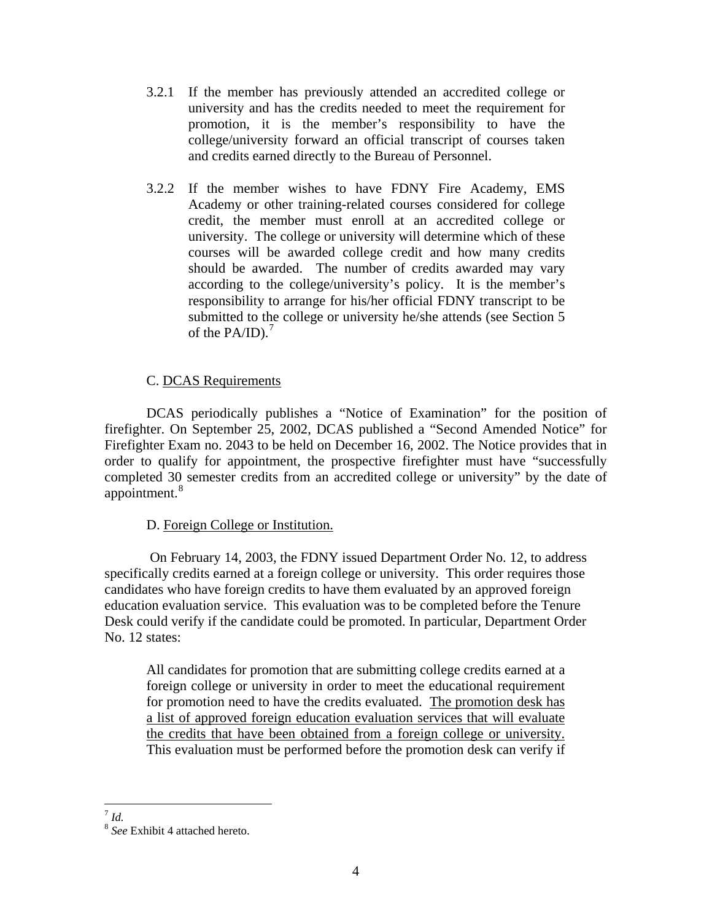- 3.2.1 If the member has previously attended an accredited college or university and has the credits needed to meet the requirement for promotion, it is the member's responsibility to have the college/university forward an official transcript of courses taken and credits earned directly to the Bureau of Personnel.
- 3.2.2 If the member wishes to have FDNY Fire Academy, EMS Academy or other training-related courses considered for college credit, the member must enroll at an accredited college or university. The college or university will determine which of these courses will be awarded college credit and how many credits should be awarded. The number of credits awarded may vary according to the college/university's policy. It is the member's responsibility to arrange for his/her official FDNY transcript to be submitted to the college or university he/she attends (see Section 5 of the PA/ID). $^7$  $^7$

# C. DCAS Requirements

DCAS periodically publishes a "Notice of Examination" for the position of firefighter. On September 25, 2002, DCAS published a "Second Amended Notice" for Firefighter Exam no. 2043 to be held on December 16, 2002. The Notice provides that in order to qualify for appointment, the prospective firefighter must have "successfully completed 30 semester credits from an accredited college or university" by the date of appointment.<sup>[8](#page-5-1)</sup>

# D. Foreign College or Institution.

 On February 14, 2003, the FDNY issued Department Order No. 12, to address specifically credits earned at a foreign college or university. This order requires those candidates who have foreign credits to have them evaluated by an approved foreign education evaluation service. This evaluation was to be completed before the Tenure Desk could verify if the candidate could be promoted. In particular, Department Order No. 12 states:

All candidates for promotion that are submitting college credits earned at a foreign college or university in order to meet the educational requirement for promotion need to have the credits evaluated. The promotion desk has a list of approved foreign education evaluation services that will evaluate the credits that have been obtained from a foreign college or university. This evaluation must be performed before the promotion desk can verify if

 $\overline{a}$ <sup>7</sup> *Id.*

<span id="page-5-1"></span><span id="page-5-0"></span><sup>8</sup> *See* Exhibit 4 attached hereto.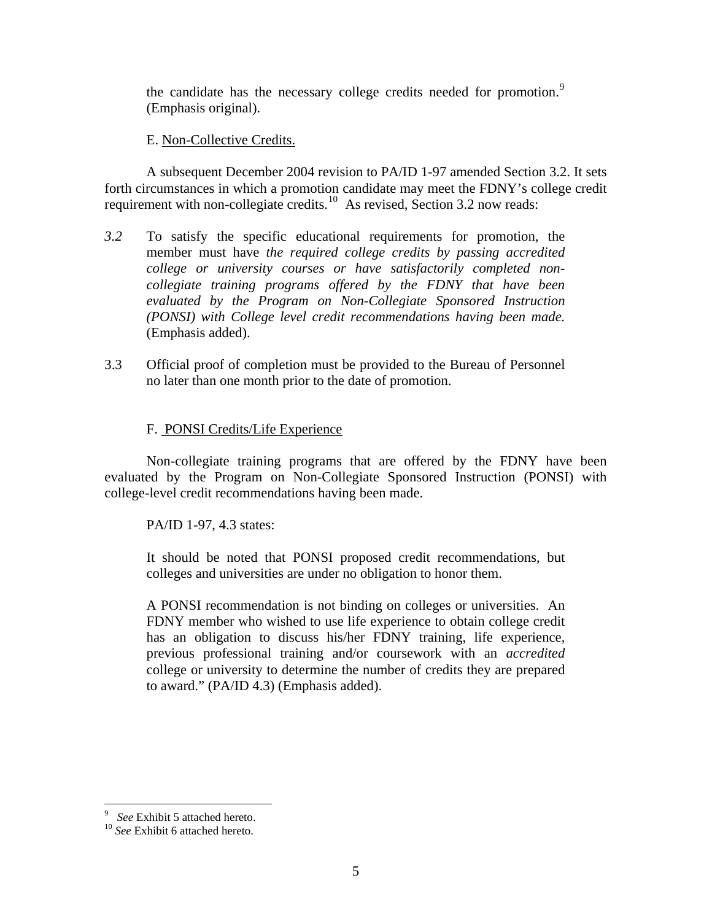the candidate has the necessary college credits needed for promotion.<sup>[9](#page-6-0)</sup> (Emphasis original).

# E. Non-Collective Credits.

 A subsequent December 2004 revision to PA/ID 1-97 amended Section 3.2. It sets forth circumstances in which a promotion candidate may meet the FDNY's college credit requirement with non-collegiate credits.<sup>[10](#page-6-1)</sup> As revised, Section 3.2 now reads:

- *3.2* To satisfy the specific educational requirements for promotion, the member must have *the required college credits by passing accredited college or university courses or have satisfactorily completed noncollegiate training programs offered by the FDNY that have been evaluated by the Program on Non-Collegiate Sponsored Instruction (PONSI) with College level credit recommendations having been made.*  (Emphasis added).
- 3.3 Official proof of completion must be provided to the Bureau of Personnel no later than one month prior to the date of promotion.

# F. PONSI Credits/Life Experience

 Non-collegiate training programs that are offered by the FDNY have been evaluated by the Program on Non-Collegiate Sponsored Instruction (PONSI) with college-level credit recommendations having been made.

PA/ID 1-97, 4.3 states:

It should be noted that PONSI proposed credit recommendations, but colleges and universities are under no obligation to honor them.

A PONSI recommendation is not binding on colleges or universities. An FDNY member who wished to use life experience to obtain college credit has an obligation to discuss his/her FDNY training, life experience, previous professional training and/or coursework with an *accredited*  college or university to determine the number of credits they are prepared to award." (PA/ID 4.3) (Emphasis added).

 $\overline{a}$ 

<sup>&</sup>lt;sup>9</sup> See Exhibit 5 attached hereto.

<span id="page-6-1"></span><span id="page-6-0"></span><sup>&</sup>lt;sup>10</sup> See Exhibit 6 attached hereto.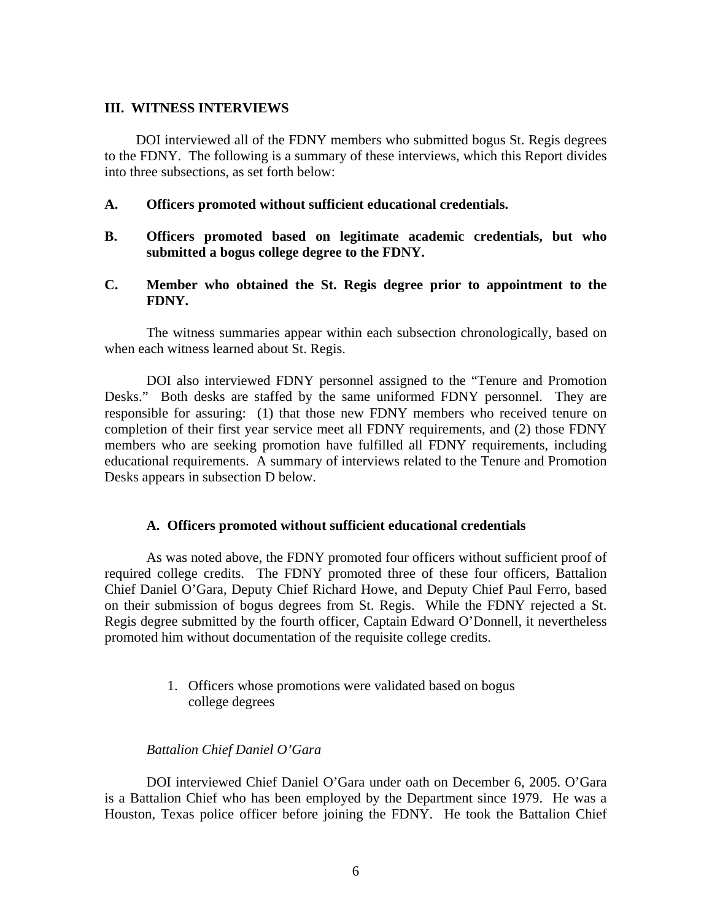#### **III. WITNESS INTERVIEWS**

 DOI interviewed all of the FDNY members who submitted bogus St. Regis degrees to the FDNY. The following is a summary of these interviews, which this Report divides into three subsections, as set forth below:

## **A. Officers promoted without sufficient educational credentials.**

- **B. Officers promoted based on legitimate academic credentials, but who submitted a bogus college degree to the FDNY.**
- **C. Member who obtained the St. Regis degree prior to appointment to the FDNY.**

 The witness summaries appear within each subsection chronologically, based on when each witness learned about St. Regis.

 DOI also interviewed FDNY personnel assigned to the "Tenure and Promotion Desks." Both desks are staffed by the same uniformed FDNY personnel. They are responsible for assuring: (1) that those new FDNY members who received tenure on completion of their first year service meet all FDNY requirements, and (2) those FDNY members who are seeking promotion have fulfilled all FDNY requirements, including educational requirements. A summary of interviews related to the Tenure and Promotion Desks appears in subsection D below.

## **A. Officers promoted without sufficient educational credentials**

 As was noted above, the FDNY promoted four officers without sufficient proof of required college credits. The FDNY promoted three of these four officers, Battalion Chief Daniel O'Gara, Deputy Chief Richard Howe, and Deputy Chief Paul Ferro, based on their submission of bogus degrees from St. Regis. While the FDNY rejected a St. Regis degree submitted by the fourth officer, Captain Edward O'Donnell, it nevertheless promoted him without documentation of the requisite college credits.

> 1. Officers whose promotions were validated based on bogus college degrees

## *Battalion Chief Daniel O'Gara*

 DOI interviewed Chief Daniel O'Gara under oath on December 6, 2005. O'Gara is a Battalion Chief who has been employed by the Department since 1979. He was a Houston, Texas police officer before joining the FDNY. He took the Battalion Chief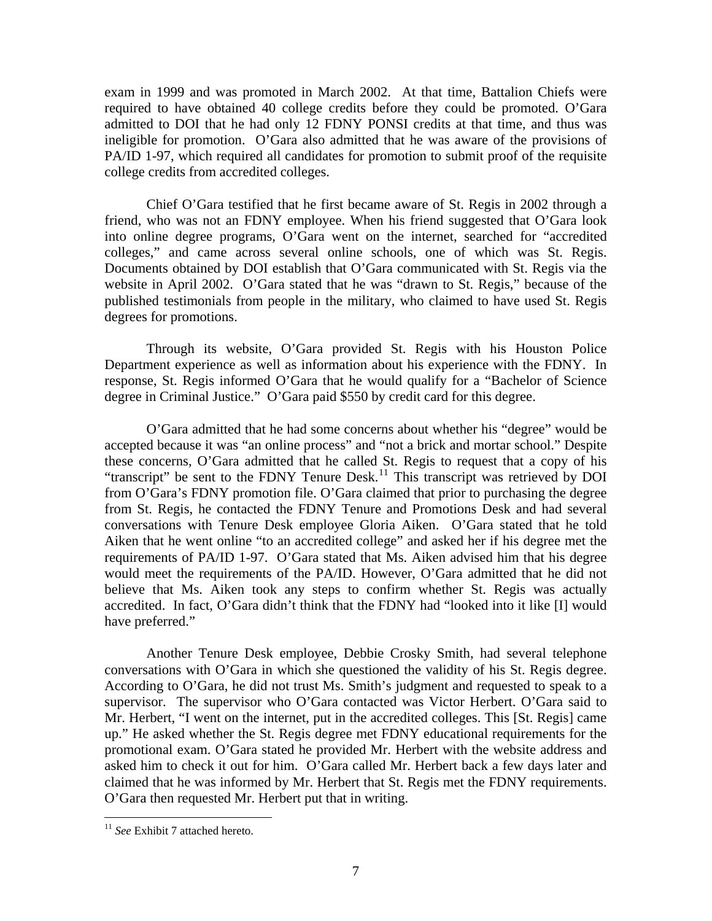exam in 1999 and was promoted in March 2002. At that time, Battalion Chiefs were required to have obtained 40 college credits before they could be promoted. O'Gara admitted to DOI that he had only 12 FDNY PONSI credits at that time, and thus was ineligible for promotion. O'Gara also admitted that he was aware of the provisions of PA/ID 1-97, which required all candidates for promotion to submit proof of the requisite college credits from accredited colleges.

 Chief O'Gara testified that he first became aware of St. Regis in 2002 through a friend, who was not an FDNY employee. When his friend suggested that O'Gara look into online degree programs, O'Gara went on the internet, searched for "accredited colleges," and came across several online schools, one of which was St. Regis. Documents obtained by DOI establish that O'Gara communicated with St. Regis via the website in April 2002. O'Gara stated that he was "drawn to St. Regis," because of the published testimonials from people in the military, who claimed to have used St. Regis degrees for promotions.

 Through its website, O'Gara provided St. Regis with his Houston Police Department experience as well as information about his experience with the FDNY. In response, St. Regis informed O'Gara that he would qualify for a "Bachelor of Science degree in Criminal Justice." O'Gara paid \$550 by credit card for this degree.

 O'Gara admitted that he had some concerns about whether his "degree" would be accepted because it was "an online process" and "not a brick and mortar school." Despite these concerns, O'Gara admitted that he called St. Regis to request that a copy of his "transcript" be sent to the FDNY Tenure Desk.<sup>[11](#page-8-0)</sup> This transcript was retrieved by DOI from O'Gara's FDNY promotion file. O'Gara claimed that prior to purchasing the degree from St. Regis, he contacted the FDNY Tenure and Promotions Desk and had several conversations with Tenure Desk employee Gloria Aiken. O'Gara stated that he told Aiken that he went online "to an accredited college" and asked her if his degree met the requirements of PA/ID 1-97. O'Gara stated that Ms. Aiken advised him that his degree would meet the requirements of the PA/ID. However, O'Gara admitted that he did not believe that Ms. Aiken took any steps to confirm whether St. Regis was actually accredited. In fact, O'Gara didn't think that the FDNY had "looked into it like [I] would have preferred."

 Another Tenure Desk employee, Debbie Crosky Smith, had several telephone conversations with O'Gara in which she questioned the validity of his St. Regis degree. According to O'Gara, he did not trust Ms. Smith's judgment and requested to speak to a supervisor. The supervisor who O'Gara contacted was Victor Herbert. O'Gara said to Mr. Herbert, "I went on the internet, put in the accredited colleges. This [St. Regis] came up." He asked whether the St. Regis degree met FDNY educational requirements for the promotional exam. O'Gara stated he provided Mr. Herbert with the website address and asked him to check it out for him. O'Gara called Mr. Herbert back a few days later and claimed that he was informed by Mr. Herbert that St. Regis met the FDNY requirements. O'Gara then requested Mr. Herbert put that in writing.

 $\overline{a}$ 

<span id="page-8-0"></span><sup>&</sup>lt;sup>11</sup> See Exhibit 7 attached hereto.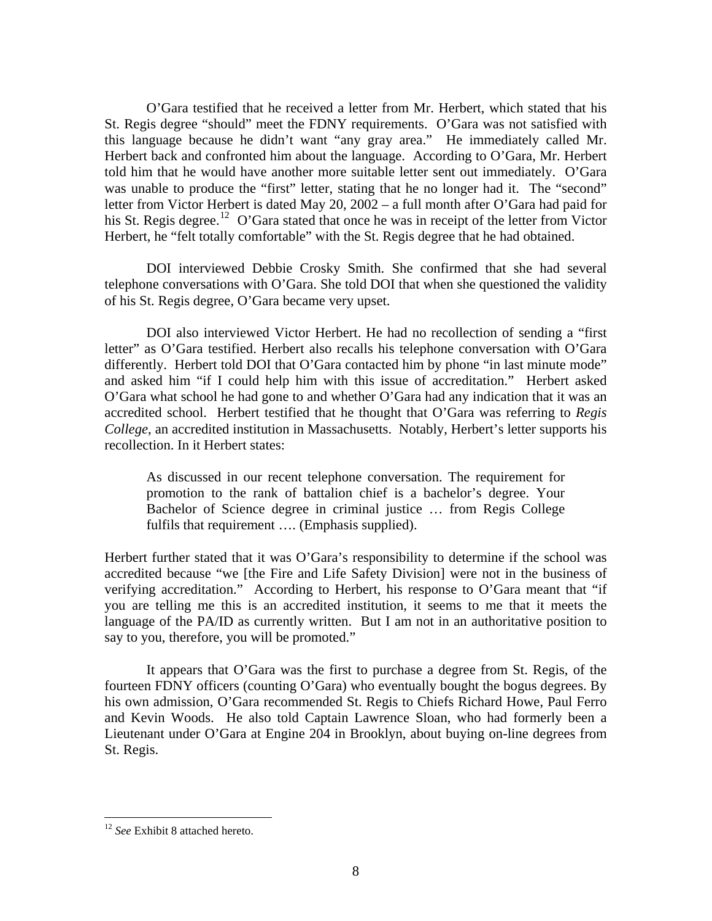O'Gara testified that he received a letter from Mr. Herbert, which stated that his St. Regis degree "should" meet the FDNY requirements. O'Gara was not satisfied with this language because he didn't want "any gray area." He immediately called Mr. Herbert back and confronted him about the language. According to O'Gara, Mr. Herbert told him that he would have another more suitable letter sent out immediately. O'Gara was unable to produce the "first" letter, stating that he no longer had it. The "second" letter from Victor Herbert is dated May 20, 2002 – a full month after O'Gara had paid for his St. Regis degree.<sup>[12](#page-9-0)</sup> O'Gara stated that once he was in receipt of the letter from Victor Herbert, he "felt totally comfortable" with the St. Regis degree that he had obtained.

 DOI interviewed Debbie Crosky Smith. She confirmed that she had several telephone conversations with O'Gara. She told DOI that when she questioned the validity of his St. Regis degree, O'Gara became very upset.

 DOI also interviewed Victor Herbert. He had no recollection of sending a "first letter" as O'Gara testified. Herbert also recalls his telephone conversation with O'Gara differently. Herbert told DOI that O'Gara contacted him by phone "in last minute mode" and asked him "if I could help him with this issue of accreditation." Herbert asked O'Gara what school he had gone to and whether O'Gara had any indication that it was an accredited school. Herbert testified that he thought that O'Gara was referring to *Regis College*, an accredited institution in Massachusetts. Notably, Herbert's letter supports his recollection. In it Herbert states:

As discussed in our recent telephone conversation. The requirement for promotion to the rank of battalion chief is a bachelor's degree. Your Bachelor of Science degree in criminal justice … from Regis College fulfils that requirement .... (Emphasis supplied).

Herbert further stated that it was O'Gara's responsibility to determine if the school was accredited because "we [the Fire and Life Safety Division] were not in the business of verifying accreditation." According to Herbert, his response to O'Gara meant that "if you are telling me this is an accredited institution, it seems to me that it meets the language of the PA/ID as currently written. But I am not in an authoritative position to say to you, therefore, you will be promoted."

 It appears that O'Gara was the first to purchase a degree from St. Regis, of the fourteen FDNY officers (counting O'Gara) who eventually bought the bogus degrees. By his own admission, O'Gara recommended St. Regis to Chiefs Richard Howe, Paul Ferro and Kevin Woods. He also told Captain Lawrence Sloan, who had formerly been a Lieutenant under O'Gara at Engine 204 in Brooklyn, about buying on-line degrees from St. Regis.

 $\overline{a}$ 

<span id="page-9-0"></span><sup>12</sup> *See* Exhibit 8 attached hereto.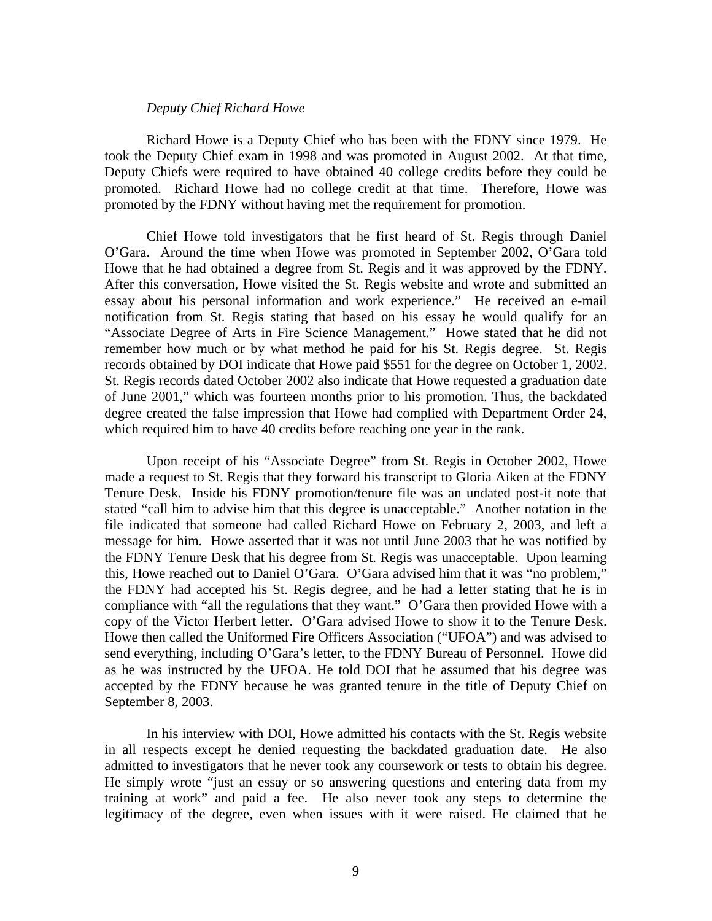## *Deputy Chief Richard Howe*

Richard Howe is a Deputy Chief who has been with the FDNY since 1979. He took the Deputy Chief exam in 1998 and was promoted in August 2002. At that time, Deputy Chiefs were required to have obtained 40 college credits before they could be promoted. Richard Howe had no college credit at that time. Therefore, Howe was promoted by the FDNY without having met the requirement for promotion.

 Chief Howe told investigators that he first heard of St. Regis through Daniel O'Gara. Around the time when Howe was promoted in September 2002, O'Gara told Howe that he had obtained a degree from St. Regis and it was approved by the FDNY. After this conversation, Howe visited the St. Regis website and wrote and submitted an essay about his personal information and work experience." He received an e-mail notification from St. Regis stating that based on his essay he would qualify for an "Associate Degree of Arts in Fire Science Management." Howe stated that he did not remember how much or by what method he paid for his St. Regis degree. St. Regis records obtained by DOI indicate that Howe paid \$551 for the degree on October 1, 2002. St. Regis records dated October 2002 also indicate that Howe requested a graduation date of June 2001," which was fourteen months prior to his promotion. Thus, the backdated degree created the false impression that Howe had complied with Department Order 24, which required him to have 40 credits before reaching one year in the rank.

 Upon receipt of his "Associate Degree" from St. Regis in October 2002, Howe made a request to St. Regis that they forward his transcript to Gloria Aiken at the FDNY Tenure Desk. Inside his FDNY promotion/tenure file was an undated post-it note that stated "call him to advise him that this degree is unacceptable." Another notation in the file indicated that someone had called Richard Howe on February 2, 2003, and left a message for him. Howe asserted that it was not until June 2003 that he was notified by the FDNY Tenure Desk that his degree from St. Regis was unacceptable. Upon learning this, Howe reached out to Daniel O'Gara. O'Gara advised him that it was "no problem," the FDNY had accepted his St. Regis degree, and he had a letter stating that he is in compliance with "all the regulations that they want." O'Gara then provided Howe with a copy of the Victor Herbert letter. O'Gara advised Howe to show it to the Tenure Desk. Howe then called the Uniformed Fire Officers Association ("UFOA") and was advised to send everything, including O'Gara's letter, to the FDNY Bureau of Personnel. Howe did as he was instructed by the UFOA. He told DOI that he assumed that his degree was accepted by the FDNY because he was granted tenure in the title of Deputy Chief on September 8, 2003.

 In his interview with DOI, Howe admitted his contacts with the St. Regis website in all respects except he denied requesting the backdated graduation date. He also admitted to investigators that he never took any coursework or tests to obtain his degree. He simply wrote "just an essay or so answering questions and entering data from my training at work" and paid a fee. He also never took any steps to determine the legitimacy of the degree, even when issues with it were raised. He claimed that he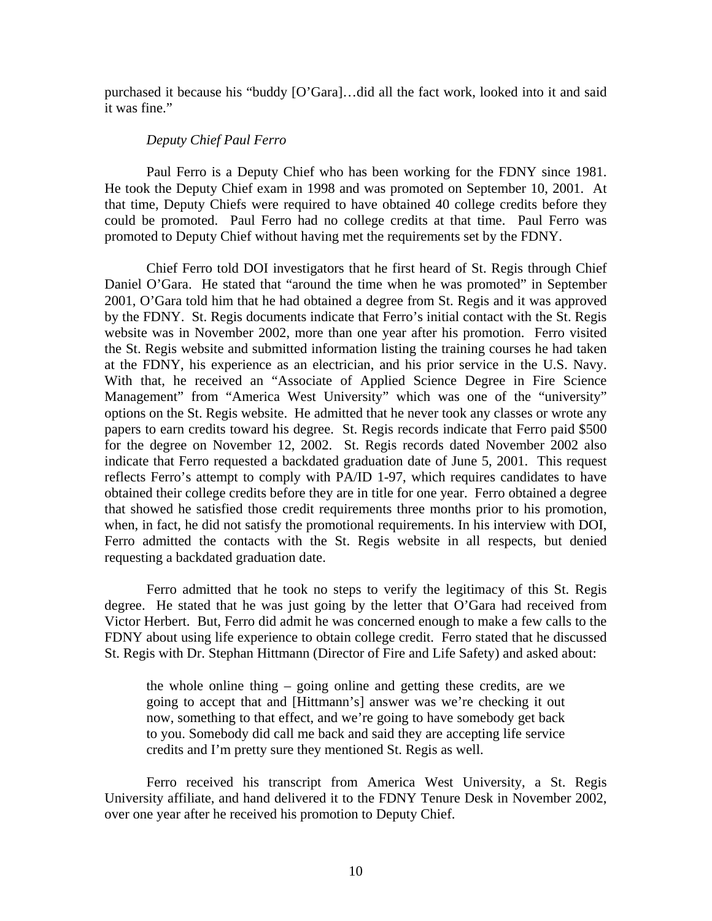purchased it because his "buddy [O'Gara]…did all the fact work, looked into it and said it was fine."

#### *Deputy Chief Paul Ferro*

 Paul Ferro is a Deputy Chief who has been working for the FDNY since 1981. He took the Deputy Chief exam in 1998 and was promoted on September 10, 2001. At that time, Deputy Chiefs were required to have obtained 40 college credits before they could be promoted. Paul Ferro had no college credits at that time. Paul Ferro was promoted to Deputy Chief without having met the requirements set by the FDNY.

 Chief Ferro told DOI investigators that he first heard of St. Regis through Chief Daniel O'Gara. He stated that "around the time when he was promoted" in September 2001, O'Gara told him that he had obtained a degree from St. Regis and it was approved by the FDNY. St. Regis documents indicate that Ferro's initial contact with the St. Regis website was in November 2002, more than one year after his promotion. Ferro visited the St. Regis website and submitted information listing the training courses he had taken at the FDNY, his experience as an electrician, and his prior service in the U.S. Navy. With that, he received an "Associate of Applied Science Degree in Fire Science Management" from "America West University" which was one of the "university" options on the St. Regis website. He admitted that he never took any classes or wrote any papers to earn credits toward his degree. St. Regis records indicate that Ferro paid \$500 for the degree on November 12, 2002. St. Regis records dated November 2002 also indicate that Ferro requested a backdated graduation date of June 5, 2001. This request reflects Ferro's attempt to comply with PA/ID 1-97, which requires candidates to have obtained their college credits before they are in title for one year. Ferro obtained a degree that showed he satisfied those credit requirements three months prior to his promotion, when, in fact, he did not satisfy the promotional requirements. In his interview with DOI, Ferro admitted the contacts with the St. Regis website in all respects, but denied requesting a backdated graduation date.

 Ferro admitted that he took no steps to verify the legitimacy of this St. Regis degree. He stated that he was just going by the letter that O'Gara had received from Victor Herbert. But, Ferro did admit he was concerned enough to make a few calls to the FDNY about using life experience to obtain college credit. Ferro stated that he discussed St. Regis with Dr. Stephan Hittmann (Director of Fire and Life Safety) and asked about:

the whole online thing – going online and getting these credits, are we going to accept that and [Hittmann's] answer was we're checking it out now, something to that effect, and we're going to have somebody get back to you. Somebody did call me back and said they are accepting life service credits and I'm pretty sure they mentioned St. Regis as well.

 Ferro received his transcript from America West University, a St. Regis University affiliate, and hand delivered it to the FDNY Tenure Desk in November 2002, over one year after he received his promotion to Deputy Chief.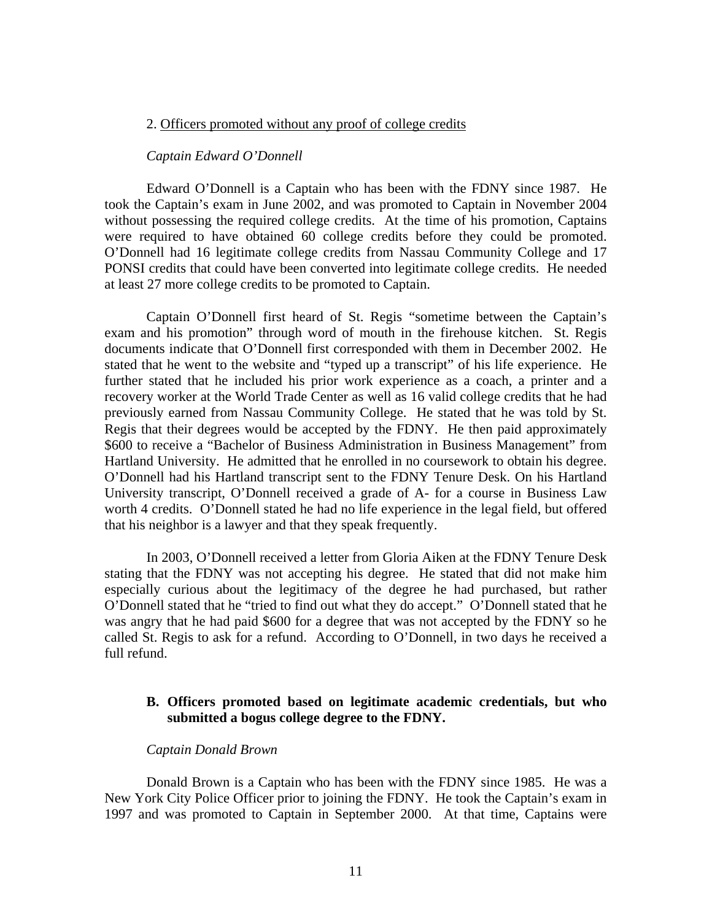#### 2. Officers promoted without any proof of college credits

#### *Captain Edward O'Donnell*

 Edward O'Donnell is a Captain who has been with the FDNY since 1987. He took the Captain's exam in June 2002, and was promoted to Captain in November 2004 without possessing the required college credits. At the time of his promotion, Captains were required to have obtained 60 college credits before they could be promoted. O'Donnell had 16 legitimate college credits from Nassau Community College and 17 PONSI credits that could have been converted into legitimate college credits. He needed at least 27 more college credits to be promoted to Captain.

 Captain O'Donnell first heard of St. Regis "sometime between the Captain's exam and his promotion" through word of mouth in the firehouse kitchen. St. Regis documents indicate that O'Donnell first corresponded with them in December 2002. He stated that he went to the website and "typed up a transcript" of his life experience. He further stated that he included his prior work experience as a coach, a printer and a recovery worker at the World Trade Center as well as 16 valid college credits that he had previously earned from Nassau Community College. He stated that he was told by St. Regis that their degrees would be accepted by the FDNY. He then paid approximately \$600 to receive a "Bachelor of Business Administration in Business Management" from Hartland University. He admitted that he enrolled in no coursework to obtain his degree. O'Donnell had his Hartland transcript sent to the FDNY Tenure Desk. On his Hartland University transcript, O'Donnell received a grade of A- for a course in Business Law worth 4 credits. O'Donnell stated he had no life experience in the legal field, but offered that his neighbor is a lawyer and that they speak frequently.

 In 2003, O'Donnell received a letter from Gloria Aiken at the FDNY Tenure Desk stating that the FDNY was not accepting his degree. He stated that did not make him especially curious about the legitimacy of the degree he had purchased, but rather O'Donnell stated that he "tried to find out what they do accept." O'Donnell stated that he was angry that he had paid \$600 for a degree that was not accepted by the FDNY so he called St. Regis to ask for a refund. According to O'Donnell, in two days he received a full refund.

# **B. Officers promoted based on legitimate academic credentials, but who submitted a bogus college degree to the FDNY.**

## *Captain Donald Brown*

 Donald Brown is a Captain who has been with the FDNY since 1985. He was a New York City Police Officer prior to joining the FDNY. He took the Captain's exam in 1997 and was promoted to Captain in September 2000. At that time, Captains were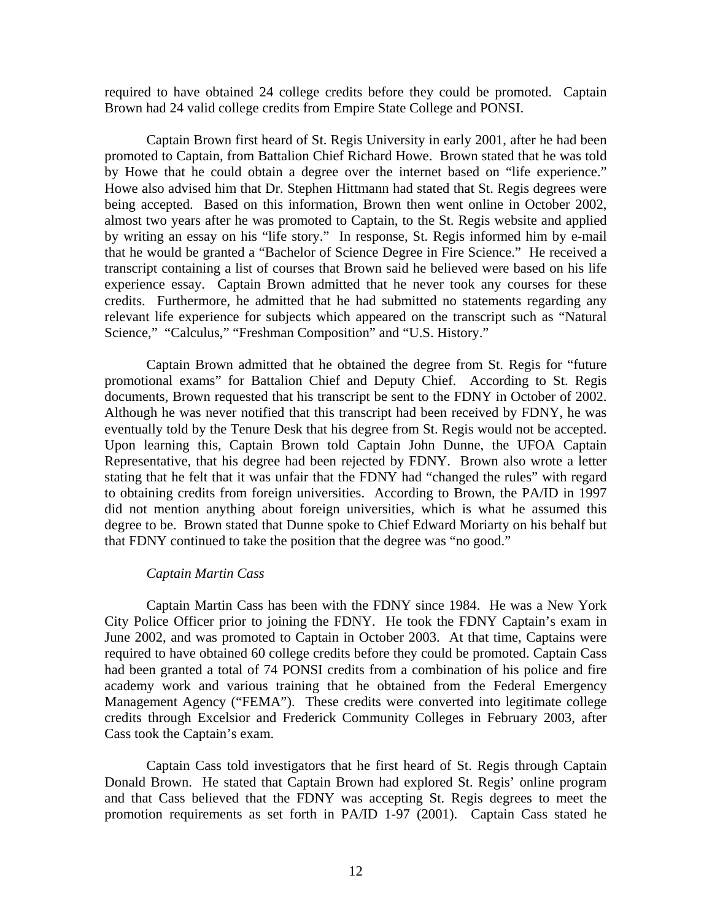required to have obtained 24 college credits before they could be promoted. Captain Brown had 24 valid college credits from Empire State College and PONSI.

 Captain Brown first heard of St. Regis University in early 2001, after he had been promoted to Captain, from Battalion Chief Richard Howe. Brown stated that he was told by Howe that he could obtain a degree over the internet based on "life experience." Howe also advised him that Dr. Stephen Hittmann had stated that St. Regis degrees were being accepted. Based on this information, Brown then went online in October 2002, almost two years after he was promoted to Captain, to the St. Regis website and applied by writing an essay on his "life story." In response, St. Regis informed him by e-mail that he would be granted a "Bachelor of Science Degree in Fire Science." He received a transcript containing a list of courses that Brown said he believed were based on his life experience essay. Captain Brown admitted that he never took any courses for these credits. Furthermore, he admitted that he had submitted no statements regarding any relevant life experience for subjects which appeared on the transcript such as "Natural Science," "Calculus," "Freshman Composition" and "U.S. History."

 Captain Brown admitted that he obtained the degree from St. Regis for "future promotional exams" for Battalion Chief and Deputy Chief. According to St. Regis documents, Brown requested that his transcript be sent to the FDNY in October of 2002. Although he was never notified that this transcript had been received by FDNY, he was eventually told by the Tenure Desk that his degree from St. Regis would not be accepted. Upon learning this, Captain Brown told Captain John Dunne, the UFOA Captain Representative, that his degree had been rejected by FDNY. Brown also wrote a letter stating that he felt that it was unfair that the FDNY had "changed the rules" with regard to obtaining credits from foreign universities. According to Brown, the PA/ID in 1997 did not mention anything about foreign universities, which is what he assumed this degree to be. Brown stated that Dunne spoke to Chief Edward Moriarty on his behalf but that FDNY continued to take the position that the degree was "no good."

#### *Captain Martin Cass*

Captain Martin Cass has been with the FDNY since 1984. He was a New York City Police Officer prior to joining the FDNY. He took the FDNY Captain's exam in June 2002, and was promoted to Captain in October 2003. At that time, Captains were required to have obtained 60 college credits before they could be promoted. Captain Cass had been granted a total of 74 PONSI credits from a combination of his police and fire academy work and various training that he obtained from the Federal Emergency Management Agency ("FEMA"). These credits were converted into legitimate college credits through Excelsior and Frederick Community Colleges in February 2003, after Cass took the Captain's exam.

 Captain Cass told investigators that he first heard of St. Regis through Captain Donald Brown. He stated that Captain Brown had explored St. Regis' online program and that Cass believed that the FDNY was accepting St. Regis degrees to meet the promotion requirements as set forth in PA/ID 1-97 (2001). Captain Cass stated he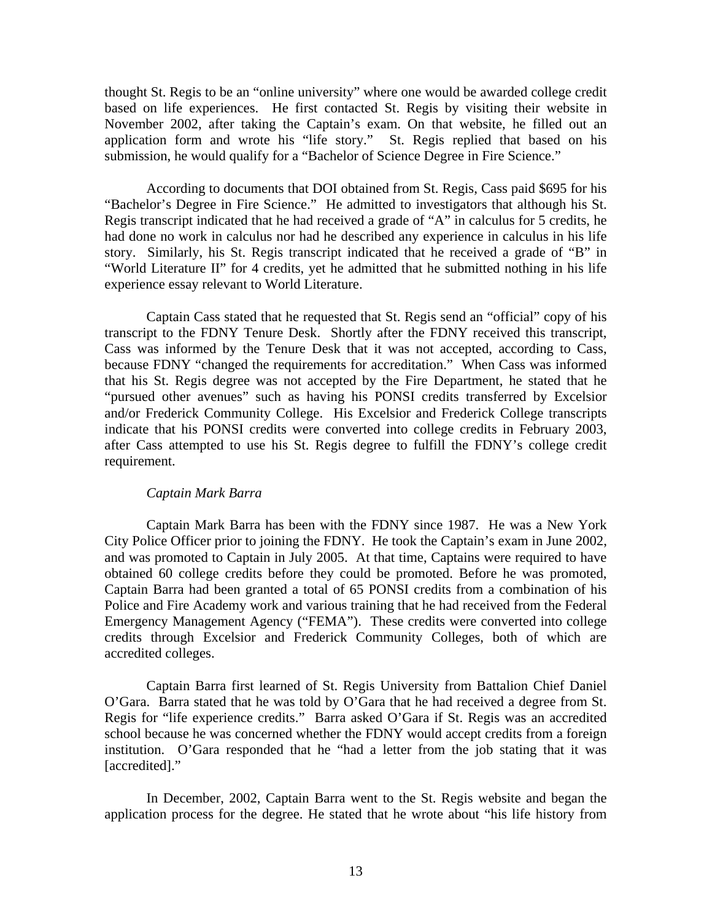thought St. Regis to be an "online university" where one would be awarded college credit based on life experiences. He first contacted St. Regis by visiting their website in November 2002, after taking the Captain's exam. On that website, he filled out an application form and wrote his "life story." St. Regis replied that based on his submission, he would qualify for a "Bachelor of Science Degree in Fire Science."

 According to documents that DOI obtained from St. Regis, Cass paid \$695 for his "Bachelor's Degree in Fire Science." He admitted to investigators that although his St. Regis transcript indicated that he had received a grade of "A" in calculus for 5 credits, he had done no work in calculus nor had he described any experience in calculus in his life story. Similarly, his St. Regis transcript indicated that he received a grade of "B" in "World Literature II" for 4 credits, yet he admitted that he submitted nothing in his life experience essay relevant to World Literature.

 Captain Cass stated that he requested that St. Regis send an "official" copy of his transcript to the FDNY Tenure Desk. Shortly after the FDNY received this transcript, Cass was informed by the Tenure Desk that it was not accepted, according to Cass, because FDNY "changed the requirements for accreditation." When Cass was informed that his St. Regis degree was not accepted by the Fire Department, he stated that he "pursued other avenues" such as having his PONSI credits transferred by Excelsior and/or Frederick Community College. His Excelsior and Frederick College transcripts indicate that his PONSI credits were converted into college credits in February 2003, after Cass attempted to use his St. Regis degree to fulfill the FDNY's college credit requirement.

## *Captain Mark Barra*

Captain Mark Barra has been with the FDNY since 1987. He was a New York City Police Officer prior to joining the FDNY. He took the Captain's exam in June 2002, and was promoted to Captain in July 2005. At that time, Captains were required to have obtained 60 college credits before they could be promoted. Before he was promoted, Captain Barra had been granted a total of 65 PONSI credits from a combination of his Police and Fire Academy work and various training that he had received from the Federal Emergency Management Agency ("FEMA"). These credits were converted into college credits through Excelsior and Frederick Community Colleges, both of which are accredited colleges.

 Captain Barra first learned of St. Regis University from Battalion Chief Daniel O'Gara. Barra stated that he was told by O'Gara that he had received a degree from St. Regis for "life experience credits." Barra asked O'Gara if St. Regis was an accredited school because he was concerned whether the FDNY would accept credits from a foreign institution. O'Gara responded that he "had a letter from the job stating that it was [accredited]."

 In December, 2002, Captain Barra went to the St. Regis website and began the application process for the degree. He stated that he wrote about "his life history from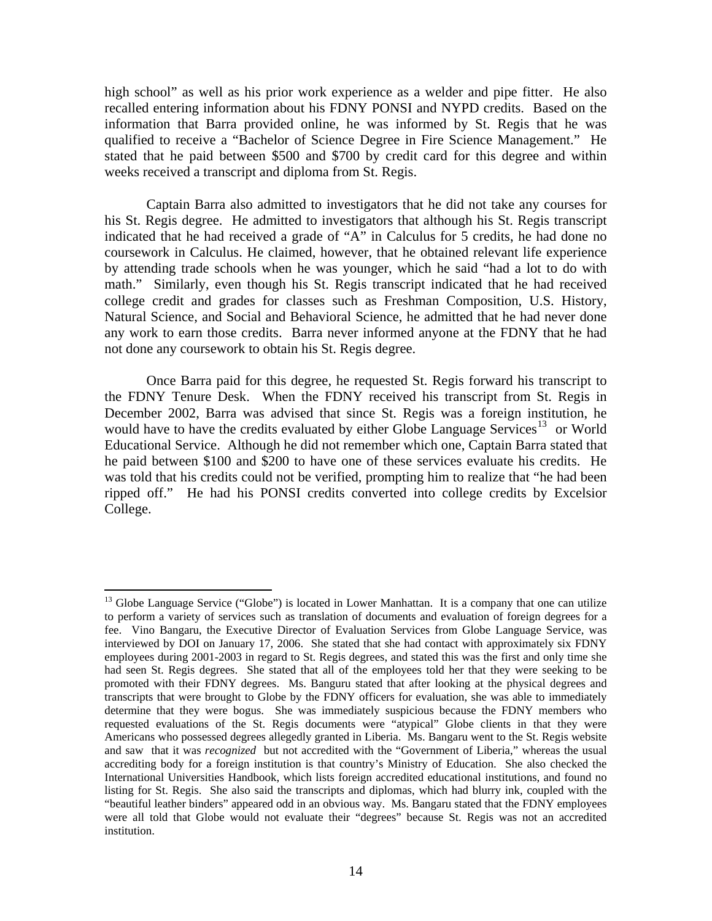high school" as well as his prior work experience as a welder and pipe fitter. He also recalled entering information about his FDNY PONSI and NYPD credits. Based on the information that Barra provided online, he was informed by St. Regis that he was qualified to receive a "Bachelor of Science Degree in Fire Science Management." He stated that he paid between \$500 and \$700 by credit card for this degree and within weeks received a transcript and diploma from St. Regis.

 Captain Barra also admitted to investigators that he did not take any courses for his St. Regis degree. He admitted to investigators that although his St. Regis transcript indicated that he had received a grade of "A" in Calculus for 5 credits, he had done no coursework in Calculus. He claimed, however, that he obtained relevant life experience by attending trade schools when he was younger, which he said "had a lot to do with math." Similarly, even though his St. Regis transcript indicated that he had received college credit and grades for classes such as Freshman Composition, U.S. History, Natural Science, and Social and Behavioral Science, he admitted that he had never done any work to earn those credits. Barra never informed anyone at the FDNY that he had not done any coursework to obtain his St. Regis degree.

 Once Barra paid for this degree, he requested St. Regis forward his transcript to the FDNY Tenure Desk. When the FDNY received his transcript from St. Regis in December 2002, Barra was advised that since St. Regis was a foreign institution, he would have to have the credits evaluated by either Globe Language Services<sup>[13](#page-15-0)</sup> or World Educational Service. Although he did not remember which one, Captain Barra stated that he paid between \$100 and \$200 to have one of these services evaluate his credits. He was told that his credits could not be verified, prompting him to realize that "he had been ripped off." He had his PONSI credits converted into college credits by Excelsior College.

<span id="page-15-0"></span> $\overline{a}$ <sup>13</sup> Globe Language Service ("Globe") is located in Lower Manhattan. It is a company that one can utilize to perform a variety of services such as translation of documents and evaluation of foreign degrees for a fee. Vino Bangaru, the Executive Director of Evaluation Services from Globe Language Service, was interviewed by DOI on January 17, 2006. She stated that she had contact with approximately six FDNY employees during 2001-2003 in regard to St. Regis degrees, and stated this was the first and only time she had seen St. Regis degrees. She stated that all of the employees told her that they were seeking to be promoted with their FDNY degrees. Ms. Banguru stated that after looking at the physical degrees and transcripts that were brought to Globe by the FDNY officers for evaluation, she was able to immediately determine that they were bogus. She was immediately suspicious because the FDNY members who requested evaluations of the St. Regis documents were "atypical" Globe clients in that they were Americans who possessed degrees allegedly granted in Liberia. Ms. Bangaru went to the St. Regis website and saw that it was *recognized* but not accredited with the "Government of Liberia," whereas the usual accrediting body for a foreign institution is that country's Ministry of Education. She also checked the International Universities Handbook, which lists foreign accredited educational institutions, and found no listing for St. Regis. She also said the transcripts and diplomas, which had blurry ink, coupled with the "beautiful leather binders" appeared odd in an obvious way. Ms. Bangaru stated that the FDNY employees were all told that Globe would not evaluate their "degrees" because St. Regis was not an accredited institution.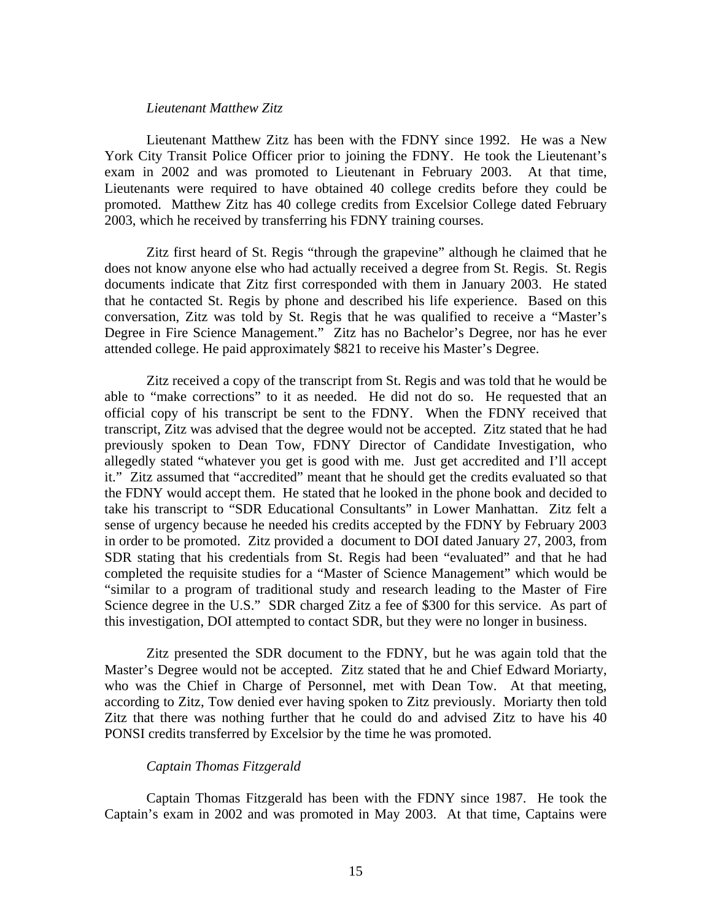## *Lieutenant Matthew Zitz*

Lieutenant Matthew Zitz has been with the FDNY since 1992. He was a New York City Transit Police Officer prior to joining the FDNY. He took the Lieutenant's exam in 2002 and was promoted to Lieutenant in February 2003. At that time, Lieutenants were required to have obtained 40 college credits before they could be promoted. Matthew Zitz has 40 college credits from Excelsior College dated February 2003, which he received by transferring his FDNY training courses.

 Zitz first heard of St. Regis "through the grapevine" although he claimed that he does not know anyone else who had actually received a degree from St. Regis. St. Regis documents indicate that Zitz first corresponded with them in January 2003. He stated that he contacted St. Regis by phone and described his life experience. Based on this conversation, Zitz was told by St. Regis that he was qualified to receive a "Master's Degree in Fire Science Management." Zitz has no Bachelor's Degree, nor has he ever attended college. He paid approximately \$821 to receive his Master's Degree.

 Zitz received a copy of the transcript from St. Regis and was told that he would be able to "make corrections" to it as needed. He did not do so. He requested that an official copy of his transcript be sent to the FDNY. When the FDNY received that transcript, Zitz was advised that the degree would not be accepted. Zitz stated that he had previously spoken to Dean Tow, FDNY Director of Candidate Investigation, who allegedly stated "whatever you get is good with me. Just get accredited and I'll accept it." Zitz assumed that "accredited" meant that he should get the credits evaluated so that the FDNY would accept them. He stated that he looked in the phone book and decided to take his transcript to "SDR Educational Consultants" in Lower Manhattan. Zitz felt a sense of urgency because he needed his credits accepted by the FDNY by February 2003 in order to be promoted. Zitz provided a document to DOI dated January 27, 2003, from SDR stating that his credentials from St. Regis had been "evaluated" and that he had completed the requisite studies for a "Master of Science Management" which would be "similar to a program of traditional study and research leading to the Master of Fire Science degree in the U.S." SDR charged Zitz a fee of \$300 for this service. As part of this investigation, DOI attempted to contact SDR, but they were no longer in business.

 Zitz presented the SDR document to the FDNY, but he was again told that the Master's Degree would not be accepted. Zitz stated that he and Chief Edward Moriarty, who was the Chief in Charge of Personnel, met with Dean Tow. At that meeting, according to Zitz, Tow denied ever having spoken to Zitz previously. Moriarty then told Zitz that there was nothing further that he could do and advised Zitz to have his 40 PONSI credits transferred by Excelsior by the time he was promoted.

## *Captain Thomas Fitzgerald*

Captain Thomas Fitzgerald has been with the FDNY since 1987. He took the Captain's exam in 2002 and was promoted in May 2003. At that time, Captains were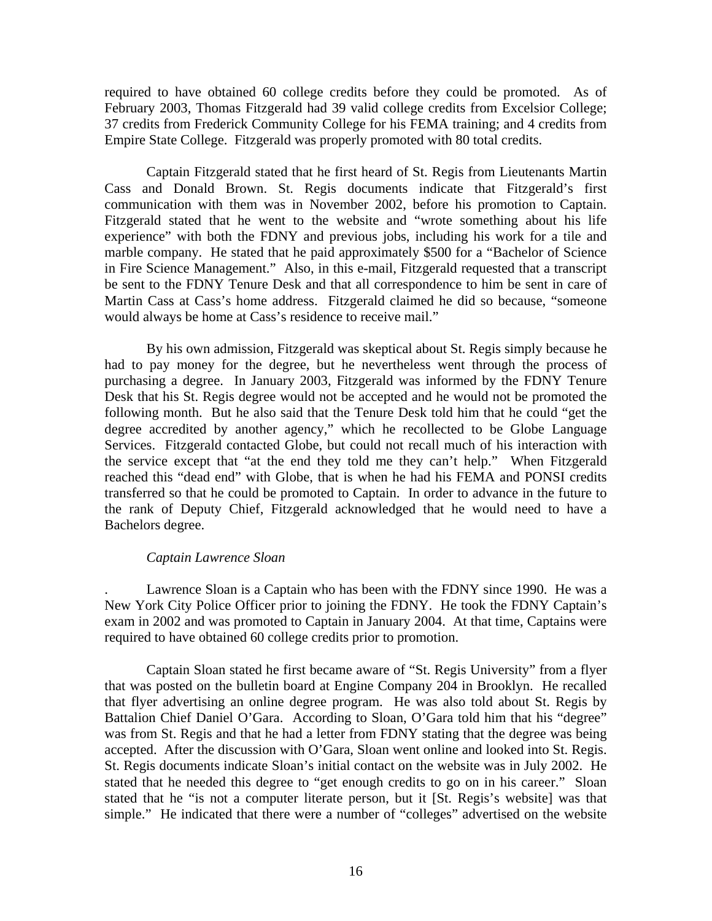required to have obtained 60 college credits before they could be promoted. As of February 2003, Thomas Fitzgerald had 39 valid college credits from Excelsior College; 37 credits from Frederick Community College for his FEMA training; and 4 credits from Empire State College. Fitzgerald was properly promoted with 80 total credits.

 Captain Fitzgerald stated that he first heard of St. Regis from Lieutenants Martin Cass and Donald Brown. St. Regis documents indicate that Fitzgerald's first communication with them was in November 2002, before his promotion to Captain. Fitzgerald stated that he went to the website and "wrote something about his life experience" with both the FDNY and previous jobs, including his work for a tile and marble company. He stated that he paid approximately \$500 for a "Bachelor of Science in Fire Science Management." Also, in this e-mail, Fitzgerald requested that a transcript be sent to the FDNY Tenure Desk and that all correspondence to him be sent in care of Martin Cass at Cass's home address. Fitzgerald claimed he did so because, "someone would always be home at Cass's residence to receive mail."

 By his own admission, Fitzgerald was skeptical about St. Regis simply because he had to pay money for the degree, but he nevertheless went through the process of purchasing a degree. In January 2003, Fitzgerald was informed by the FDNY Tenure Desk that his St. Regis degree would not be accepted and he would not be promoted the following month. But he also said that the Tenure Desk told him that he could "get the degree accredited by another agency," which he recollected to be Globe Language Services. Fitzgerald contacted Globe, but could not recall much of his interaction with the service except that "at the end they told me they can't help." When Fitzgerald reached this "dead end" with Globe, that is when he had his FEMA and PONSI credits transferred so that he could be promoted to Captain. In order to advance in the future to the rank of Deputy Chief, Fitzgerald acknowledged that he would need to have a Bachelors degree.

## *Captain Lawrence Sloan*

. Lawrence Sloan is a Captain who has been with the FDNY since 1990. He was a New York City Police Officer prior to joining the FDNY. He took the FDNY Captain's exam in 2002 and was promoted to Captain in January 2004. At that time, Captains were required to have obtained 60 college credits prior to promotion.

 Captain Sloan stated he first became aware of "St. Regis University" from a flyer that was posted on the bulletin board at Engine Company 204 in Brooklyn. He recalled that flyer advertising an online degree program. He was also told about St. Regis by Battalion Chief Daniel O'Gara. According to Sloan, O'Gara told him that his "degree" was from St. Regis and that he had a letter from FDNY stating that the degree was being accepted. After the discussion with O'Gara, Sloan went online and looked into St. Regis. St. Regis documents indicate Sloan's initial contact on the website was in July 2002. He stated that he needed this degree to "get enough credits to go on in his career." Sloan stated that he "is not a computer literate person, but it [St. Regis's website] was that simple." He indicated that there were a number of "colleges" advertised on the website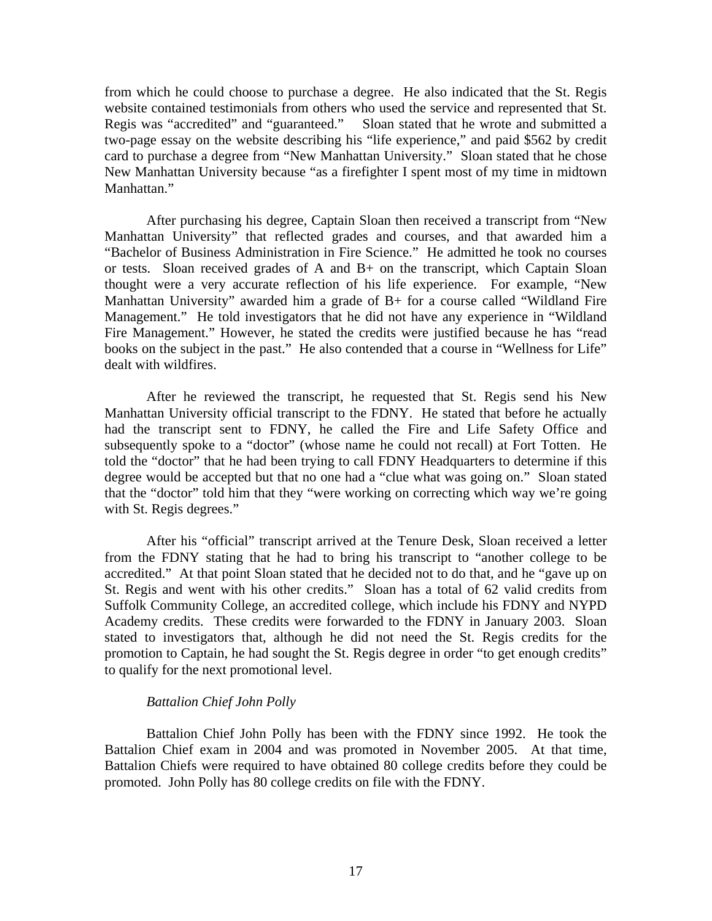from which he could choose to purchase a degree. He also indicated that the St. Regis website contained testimonials from others who used the service and represented that St. Regis was "accredited" and "guaranteed." Sloan stated that he wrote and submitted a two-page essay on the website describing his "life experience," and paid \$562 by credit card to purchase a degree from "New Manhattan University." Sloan stated that he chose New Manhattan University because "as a firefighter I spent most of my time in midtown Manhattan."

 After purchasing his degree, Captain Sloan then received a transcript from "New Manhattan University" that reflected grades and courses, and that awarded him a "Bachelor of Business Administration in Fire Science." He admitted he took no courses or tests. Sloan received grades of A and B+ on the transcript, which Captain Sloan thought were a very accurate reflection of his life experience. For example, "New Manhattan University" awarded him a grade of B+ for a course called "Wildland Fire Management." He told investigators that he did not have any experience in "Wildland Fire Management." However, he stated the credits were justified because he has "read books on the subject in the past." He also contended that a course in "Wellness for Life" dealt with wildfires.

 After he reviewed the transcript, he requested that St. Regis send his New Manhattan University official transcript to the FDNY. He stated that before he actually had the transcript sent to FDNY, he called the Fire and Life Safety Office and subsequently spoke to a "doctor" (whose name he could not recall) at Fort Totten. He told the "doctor" that he had been trying to call FDNY Headquarters to determine if this degree would be accepted but that no one had a "clue what was going on." Sloan stated that the "doctor" told him that they "were working on correcting which way we're going with St. Regis degrees."

 After his "official" transcript arrived at the Tenure Desk, Sloan received a letter from the FDNY stating that he had to bring his transcript to "another college to be accredited." At that point Sloan stated that he decided not to do that, and he "gave up on St. Regis and went with his other credits." Sloan has a total of 62 valid credits from Suffolk Community College, an accredited college, which include his FDNY and NYPD Academy credits. These credits were forwarded to the FDNY in January 2003. Sloan stated to investigators that, although he did not need the St. Regis credits for the promotion to Captain, he had sought the St. Regis degree in order "to get enough credits" to qualify for the next promotional level.

## *Battalion Chief John Polly*

 Battalion Chief John Polly has been with the FDNY since 1992. He took the Battalion Chief exam in 2004 and was promoted in November 2005. At that time, Battalion Chiefs were required to have obtained 80 college credits before they could be promoted. John Polly has 80 college credits on file with the FDNY.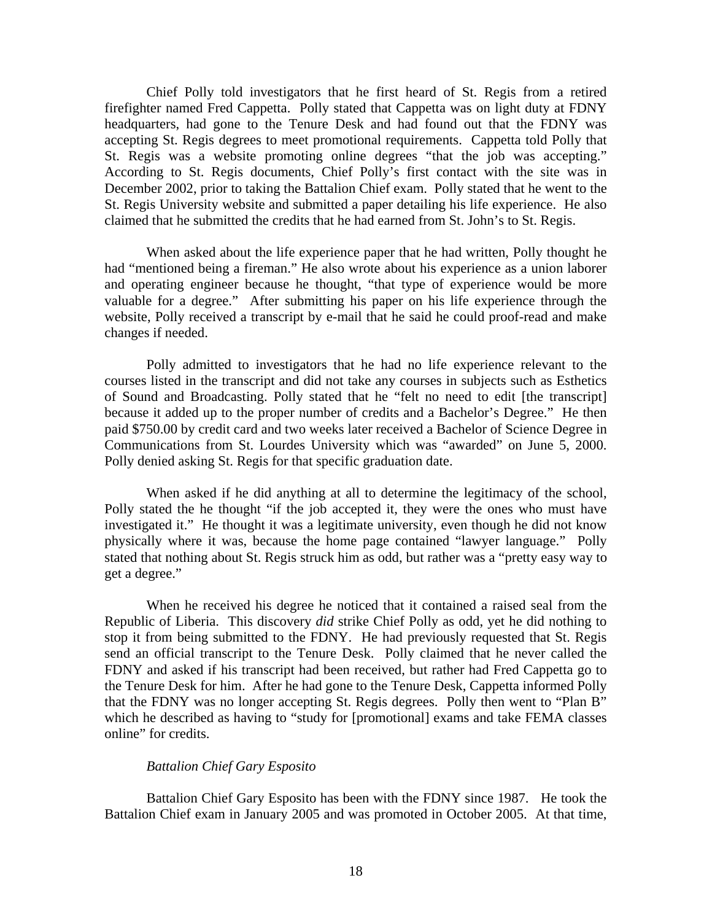Chief Polly told investigators that he first heard of St. Regis from a retired firefighter named Fred Cappetta. Polly stated that Cappetta was on light duty at FDNY headquarters, had gone to the Tenure Desk and had found out that the FDNY was accepting St. Regis degrees to meet promotional requirements. Cappetta told Polly that St. Regis was a website promoting online degrees "that the job was accepting." According to St. Regis documents, Chief Polly's first contact with the site was in December 2002, prior to taking the Battalion Chief exam. Polly stated that he went to the St. Regis University website and submitted a paper detailing his life experience. He also claimed that he submitted the credits that he had earned from St. John's to St. Regis.

When asked about the life experience paper that he had written, Polly thought he had "mentioned being a fireman." He also wrote about his experience as a union laborer and operating engineer because he thought, "that type of experience would be more valuable for a degree." After submitting his paper on his life experience through the website, Polly received a transcript by e-mail that he said he could proof-read and make changes if needed.

Polly admitted to investigators that he had no life experience relevant to the courses listed in the transcript and did not take any courses in subjects such as Esthetics of Sound and Broadcasting. Polly stated that he "felt no need to edit [the transcript] because it added up to the proper number of credits and a Bachelor's Degree." He then paid \$750.00 by credit card and two weeks later received a Bachelor of Science Degree in Communications from St. Lourdes University which was "awarded" on June 5, 2000. Polly denied asking St. Regis for that specific graduation date.

 When asked if he did anything at all to determine the legitimacy of the school, Polly stated the he thought "if the job accepted it, they were the ones who must have investigated it." He thought it was a legitimate university, even though he did not know physically where it was, because the home page contained "lawyer language." Polly stated that nothing about St. Regis struck him as odd, but rather was a "pretty easy way to get a degree."

 When he received his degree he noticed that it contained a raised seal from the Republic of Liberia. This discovery *did* strike Chief Polly as odd, yet he did nothing to stop it from being submitted to the FDNY. He had previously requested that St. Regis send an official transcript to the Tenure Desk. Polly claimed that he never called the FDNY and asked if his transcript had been received, but rather had Fred Cappetta go to the Tenure Desk for him. After he had gone to the Tenure Desk, Cappetta informed Polly that the FDNY was no longer accepting St. Regis degrees. Polly then went to "Plan B" which he described as having to "study for [promotional] exams and take FEMA classes online" for credits.

## *Battalion Chief Gary Esposito*

 Battalion Chief Gary Esposito has been with the FDNY since 1987. He took the Battalion Chief exam in January 2005 and was promoted in October 2005. At that time,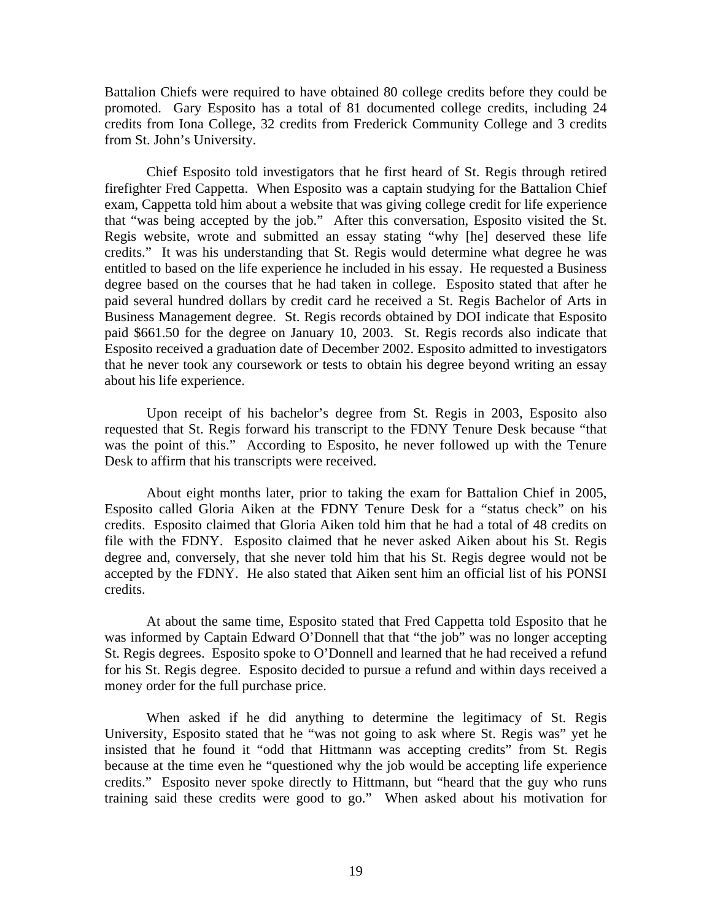Battalion Chiefs were required to have obtained 80 college credits before they could be promoted. Gary Esposito has a total of 81 documented college credits, including 24 credits from Iona College, 32 credits from Frederick Community College and 3 credits from St. John's University.

 Chief Esposito told investigators that he first heard of St. Regis through retired firefighter Fred Cappetta. When Esposito was a captain studying for the Battalion Chief exam, Cappetta told him about a website that was giving college credit for life experience that "was being accepted by the job." After this conversation, Esposito visited the St. Regis website, wrote and submitted an essay stating "why [he] deserved these life credits." It was his understanding that St. Regis would determine what degree he was entitled to based on the life experience he included in his essay. He requested a Business degree based on the courses that he had taken in college. Esposito stated that after he paid several hundred dollars by credit card he received a St. Regis Bachelor of Arts in Business Management degree. St. Regis records obtained by DOI indicate that Esposito paid \$661.50 for the degree on January 10, 2003. St. Regis records also indicate that Esposito received a graduation date of December 2002. Esposito admitted to investigators that he never took any coursework or tests to obtain his degree beyond writing an essay about his life experience.

 Upon receipt of his bachelor's degree from St. Regis in 2003, Esposito also requested that St. Regis forward his transcript to the FDNY Tenure Desk because "that was the point of this." According to Esposito, he never followed up with the Tenure Desk to affirm that his transcripts were received.

 About eight months later, prior to taking the exam for Battalion Chief in 2005, Esposito called Gloria Aiken at the FDNY Tenure Desk for a "status check" on his credits. Esposito claimed that Gloria Aiken told him that he had a total of 48 credits on file with the FDNY. Esposito claimed that he never asked Aiken about his St. Regis degree and, conversely, that she never told him that his St. Regis degree would not be accepted by the FDNY. He also stated that Aiken sent him an official list of his PONSI credits.

 At about the same time, Esposito stated that Fred Cappetta told Esposito that he was informed by Captain Edward O'Donnell that that "the job" was no longer accepting St. Regis degrees. Esposito spoke to O'Donnell and learned that he had received a refund for his St. Regis degree. Esposito decided to pursue a refund and within days received a money order for the full purchase price.

 When asked if he did anything to determine the legitimacy of St. Regis University, Esposito stated that he "was not going to ask where St. Regis was" yet he insisted that he found it "odd that Hittmann was accepting credits" from St. Regis because at the time even he "questioned why the job would be accepting life experience credits." Esposito never spoke directly to Hittmann, but "heard that the guy who runs training said these credits were good to go." When asked about his motivation for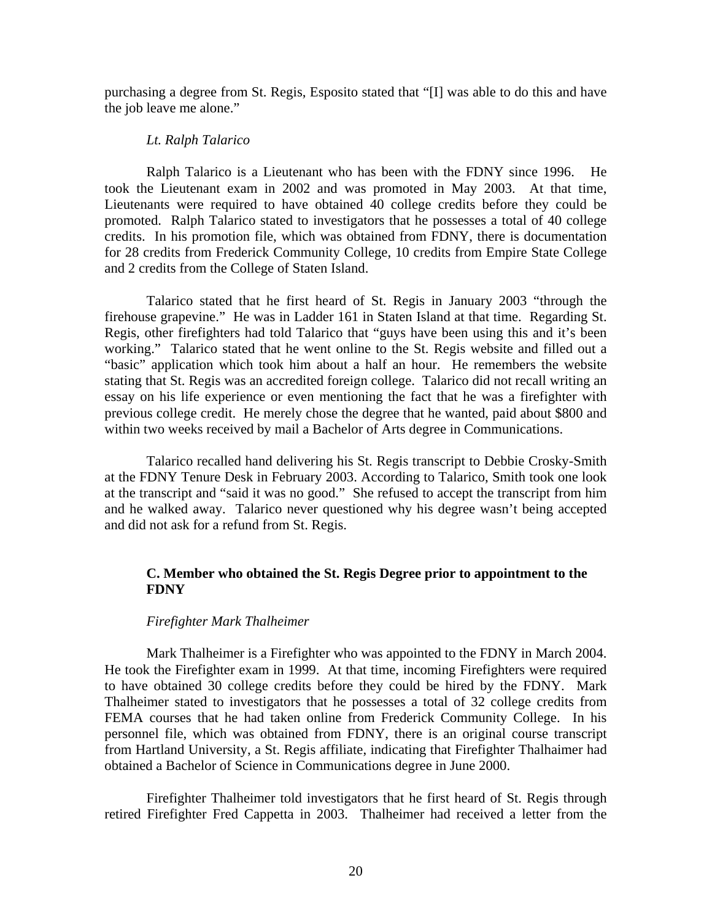purchasing a degree from St. Regis, Esposito stated that "[I] was able to do this and have the job leave me alone."

#### *Lt. Ralph Talarico*

 Ralph Talarico is a Lieutenant who has been with the FDNY since 1996. He took the Lieutenant exam in 2002 and was promoted in May 2003. At that time, Lieutenants were required to have obtained 40 college credits before they could be promoted. Ralph Talarico stated to investigators that he possesses a total of 40 college credits. In his promotion file, which was obtained from FDNY, there is documentation for 28 credits from Frederick Community College, 10 credits from Empire State College and 2 credits from the College of Staten Island.

 Talarico stated that he first heard of St. Regis in January 2003 "through the firehouse grapevine." He was in Ladder 161 in Staten Island at that time. Regarding St. Regis, other firefighters had told Talarico that "guys have been using this and it's been working." Talarico stated that he went online to the St. Regis website and filled out a "basic" application which took him about a half an hour. He remembers the website stating that St. Regis was an accredited foreign college. Talarico did not recall writing an essay on his life experience or even mentioning the fact that he was a firefighter with previous college credit. He merely chose the degree that he wanted, paid about \$800 and within two weeks received by mail a Bachelor of Arts degree in Communications.

 Talarico recalled hand delivering his St. Regis transcript to Debbie Crosky-Smith at the FDNY Tenure Desk in February 2003. According to Talarico, Smith took one look at the transcript and "said it was no good." She refused to accept the transcript from him and he walked away. Talarico never questioned why his degree wasn't being accepted and did not ask for a refund from St. Regis.

# **C. Member who obtained the St. Regis Degree prior to appointment to the FDNY**

#### *Firefighter Mark Thalheimer*

Mark Thalheimer is a Firefighter who was appointed to the FDNY in March 2004. He took the Firefighter exam in 1999. At that time, incoming Firefighters were required to have obtained 30 college credits before they could be hired by the FDNY. Mark Thalheimer stated to investigators that he possesses a total of 32 college credits from FEMA courses that he had taken online from Frederick Community College. In his personnel file, which was obtained from FDNY, there is an original course transcript from Hartland University, a St. Regis affiliate, indicating that Firefighter Thalhaimer had obtained a Bachelor of Science in Communications degree in June 2000.

 Firefighter Thalheimer told investigators that he first heard of St. Regis through retired Firefighter Fred Cappetta in 2003. Thalheimer had received a letter from the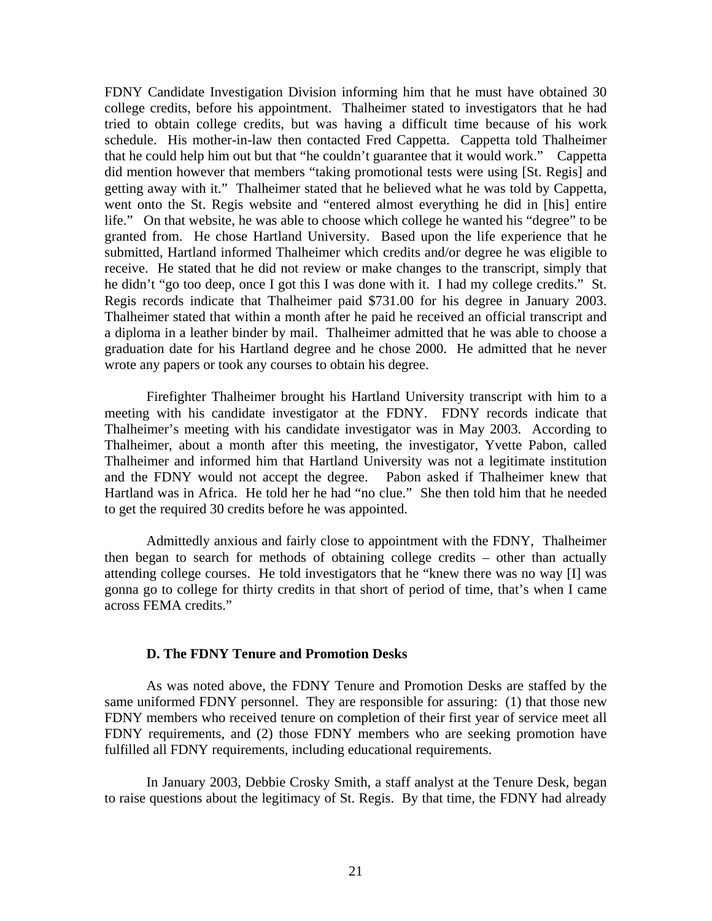FDNY Candidate Investigation Division informing him that he must have obtained 30 college credits, before his appointment. Thalheimer stated to investigators that he had tried to obtain college credits, but was having a difficult time because of his work schedule. His mother-in-law then contacted Fred Cappetta. Cappetta told Thalheimer that he could help him out but that "he couldn't guarantee that it would work." Cappetta did mention however that members "taking promotional tests were using [St. Regis] and getting away with it." Thalheimer stated that he believed what he was told by Cappetta, went onto the St. Regis website and "entered almost everything he did in [his] entire life." On that website, he was able to choose which college he wanted his "degree" to be granted from. He chose Hartland University. Based upon the life experience that he submitted, Hartland informed Thalheimer which credits and/or degree he was eligible to receive. He stated that he did not review or make changes to the transcript, simply that he didn't "go too deep, once I got this I was done with it. I had my college credits." St. Regis records indicate that Thalheimer paid \$731.00 for his degree in January 2003. Thalheimer stated that within a month after he paid he received an official transcript and a diploma in a leather binder by mail. Thalheimer admitted that he was able to choose a graduation date for his Hartland degree and he chose 2000. He admitted that he never wrote any papers or took any courses to obtain his degree.

 Firefighter Thalheimer brought his Hartland University transcript with him to a meeting with his candidate investigator at the FDNY. FDNY records indicate that Thalheimer's meeting with his candidate investigator was in May 2003. According to Thalheimer, about a month after this meeting, the investigator, Yvette Pabon, called Thalheimer and informed him that Hartland University was not a legitimate institution and the FDNY would not accept the degree. Pabon asked if Thalheimer knew that Hartland was in Africa. He told her he had "no clue." She then told him that he needed to get the required 30 credits before he was appointed.

 Admittedly anxious and fairly close to appointment with the FDNY, Thalheimer then began to search for methods of obtaining college credits – other than actually attending college courses. He told investigators that he "knew there was no way [I] was gonna go to college for thirty credits in that short of period of time, that's when I came across FEMA credits."

#### **D. The FDNY Tenure and Promotion Desks**

 As was noted above, the FDNY Tenure and Promotion Desks are staffed by the same uniformed FDNY personnel. They are responsible for assuring: (1) that those new FDNY members who received tenure on completion of their first year of service meet all FDNY requirements, and (2) those FDNY members who are seeking promotion have fulfilled all FDNY requirements, including educational requirements.

 In January 2003, Debbie Crosky Smith, a staff analyst at the Tenure Desk, began to raise questions about the legitimacy of St. Regis. By that time, the FDNY had already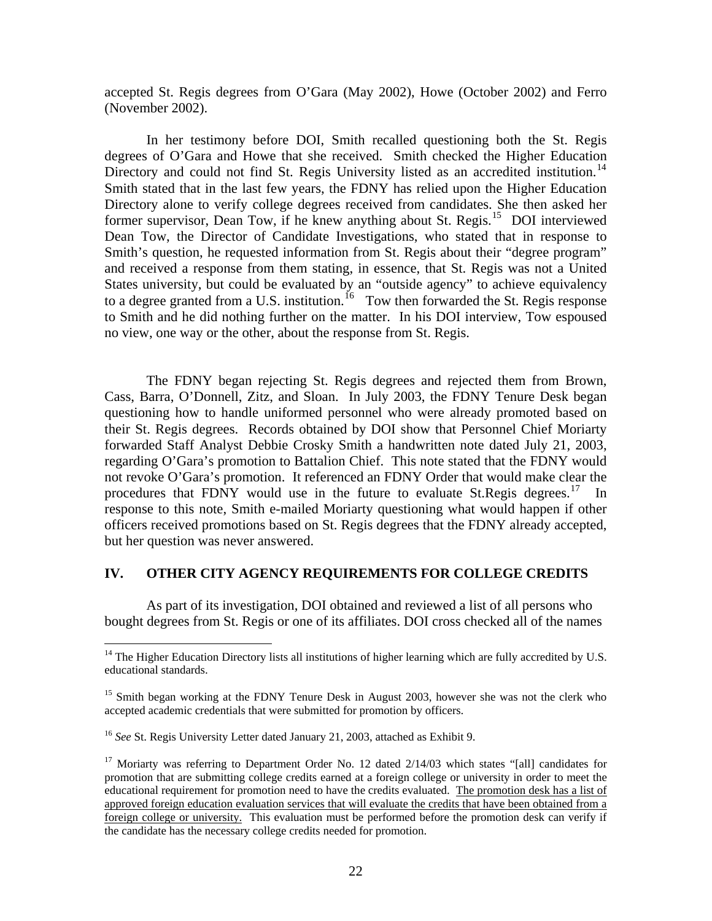accepted St. Regis degrees from O'Gara (May 2002), Howe (October 2002) and Ferro (November 2002).

 In her testimony before DOI, Smith recalled questioning both the St. Regis degrees of O'Gara and Howe that she received. Smith checked the Higher Education Directory and could not find St. Regis University listed as an accredited institution.<sup>14</sup> Smith stated that in the last few years, the FDNY has relied upon the Higher Education Directory alone to verify college degrees received from candidates. She then asked her former supervisor, Dean Tow, if he knew anything about St. Regis.<sup>[15](#page-23-1)</sup> DOI interviewed Dean Tow, the Director of Candidate Investigations, who stated that in response to Smith's question, he requested information from St. Regis about their "degree program" and received a response from them stating, in essence, that St. Regis was not a United States university, but could be evaluated by an "outside agency" to achieve equivalency to a degree granted from a U.S. institution.<sup>[16](#page-23-2)</sup> Tow then forwarded the St. Regis response to Smith and he did nothing further on the matter. In his DOI interview, Tow espoused no view, one way or the other, about the response from St. Regis.

 The FDNY began rejecting St. Regis degrees and rejected them from Brown, Cass, Barra, O'Donnell, Zitz, and Sloan. In July 2003, the FDNY Tenure Desk began questioning how to handle uniformed personnel who were already promoted based on their St. Regis degrees. Records obtained by DOI show that Personnel Chief Moriarty forwarded Staff Analyst Debbie Crosky Smith a handwritten note dated July 21, 2003, regarding O'Gara's promotion to Battalion Chief. This note stated that the FDNY would not revoke O'Gara's promotion. It referenced an FDNY Order that would make clear the procedures that FDNY would use in the future to evaluate St.Regis degrees.<sup>[17](#page-23-3)</sup> In response to this note, Smith e-mailed Moriarty questioning what would happen if other officers received promotions based on St. Regis degrees that the FDNY already accepted, but her question was never answered.

# **IV. OTHER CITY AGENCY REQUIREMENTS FOR COLLEGE CREDITS**

 As part of its investigation, DOI obtained and reviewed a list of all persons who bought degrees from St. Regis or one of its affiliates. DOI cross checked all of the names

1

<span id="page-23-0"></span> $14$  The Higher Education Directory lists all institutions of higher learning which are fully accredited by U.S. educational standards.

<span id="page-23-1"></span><sup>&</sup>lt;sup>15</sup> Smith began working at the FDNY Tenure Desk in August 2003, however she was not the clerk who accepted academic credentials that were submitted for promotion by officers.

<span id="page-23-2"></span><sup>16</sup> *See* St. Regis University Letter dated January 21, 2003, attached as Exhibit 9.

<span id="page-23-3"></span><sup>&</sup>lt;sup>17</sup> Moriarty was referring to Department Order No. 12 dated  $2/14/03$  which states "[all] candidates for promotion that are submitting college credits earned at a foreign college or university in order to meet the educational requirement for promotion need to have the credits evaluated. The promotion desk has a list of approved foreign education evaluation services that will evaluate the credits that have been obtained from a foreign college or university. This evaluation must be performed before the promotion desk can verify if the candidate has the necessary college credits needed for promotion.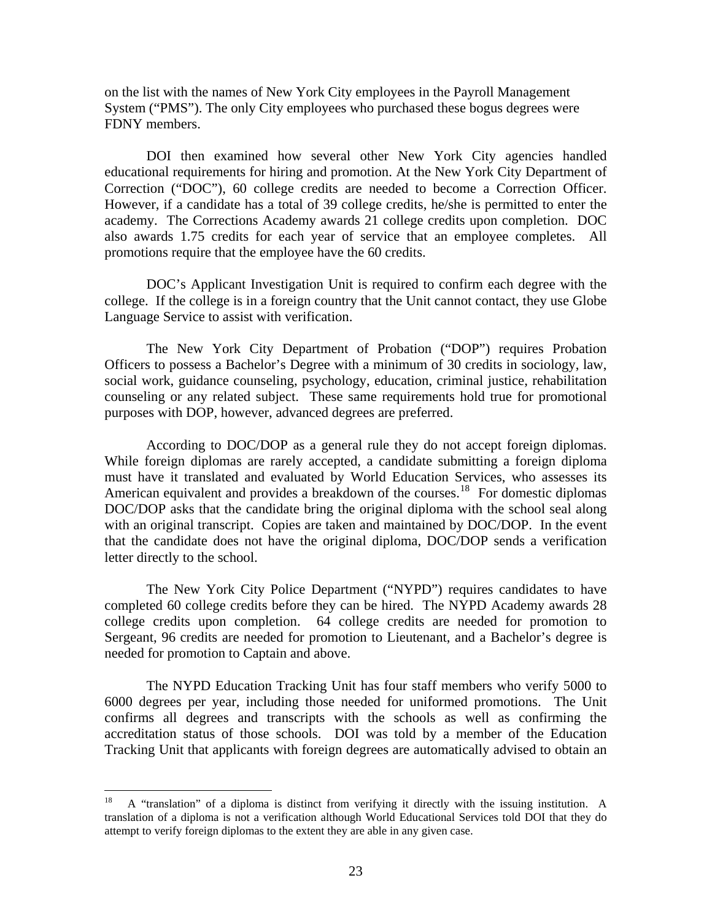on the list with the names of New York City employees in the Payroll Management System ("PMS"). The only City employees who purchased these bogus degrees were FDNY members.

DOI then examined how several other New York City agencies handled educational requirements for hiring and promotion. At the New York City Department of Correction ("DOC"), 60 college credits are needed to become a Correction Officer. However, if a candidate has a total of 39 college credits, he/she is permitted to enter the academy. The Corrections Academy awards 21 college credits upon completion. DOC also awards 1.75 credits for each year of service that an employee completes. All promotions require that the employee have the 60 credits.

 DOC's Applicant Investigation Unit is required to confirm each degree with the college. If the college is in a foreign country that the Unit cannot contact, they use Globe Language Service to assist with verification.

 The New York City Department of Probation ("DOP") requires Probation Officers to possess a Bachelor's Degree with a minimum of 30 credits in sociology, law, social work, guidance counseling, psychology, education, criminal justice, rehabilitation counseling or any related subject. These same requirements hold true for promotional purposes with DOP, however, advanced degrees are preferred.

According to DOC/DOP as a general rule they do not accept foreign diplomas. While foreign diplomas are rarely accepted, a candidate submitting a foreign diploma must have it translated and evaluated by World Education Services, who assesses its American equivalent and provides a breakdown of the courses.<sup>[18](#page-24-0)</sup> For domestic diplomas DOC/DOP asks that the candidate bring the original diploma with the school seal along with an original transcript. Copies are taken and maintained by DOC/DOP. In the event that the candidate does not have the original diploma, DOC/DOP sends a verification letter directly to the school.

 The New York City Police Department ("NYPD") requires candidates to have completed 60 college credits before they can be hired. The NYPD Academy awards 28 college credits upon completion. 64 college credits are needed for promotion to Sergeant, 96 credits are needed for promotion to Lieutenant, and a Bachelor's degree is needed for promotion to Captain and above.

 The NYPD Education Tracking Unit has four staff members who verify 5000 to 6000 degrees per year, including those needed for uniformed promotions. The Unit confirms all degrees and transcripts with the schools as well as confirming the accreditation status of those schools. DOI was told by a member of the Education Tracking Unit that applicants with foreign degrees are automatically advised to obtain an

<span id="page-24-0"></span> $18\,$ 18 A "translation" of a diploma is distinct from verifying it directly with the issuing institution. A translation of a diploma is not a verification although World Educational Services told DOI that they do attempt to verify foreign diplomas to the extent they are able in any given case.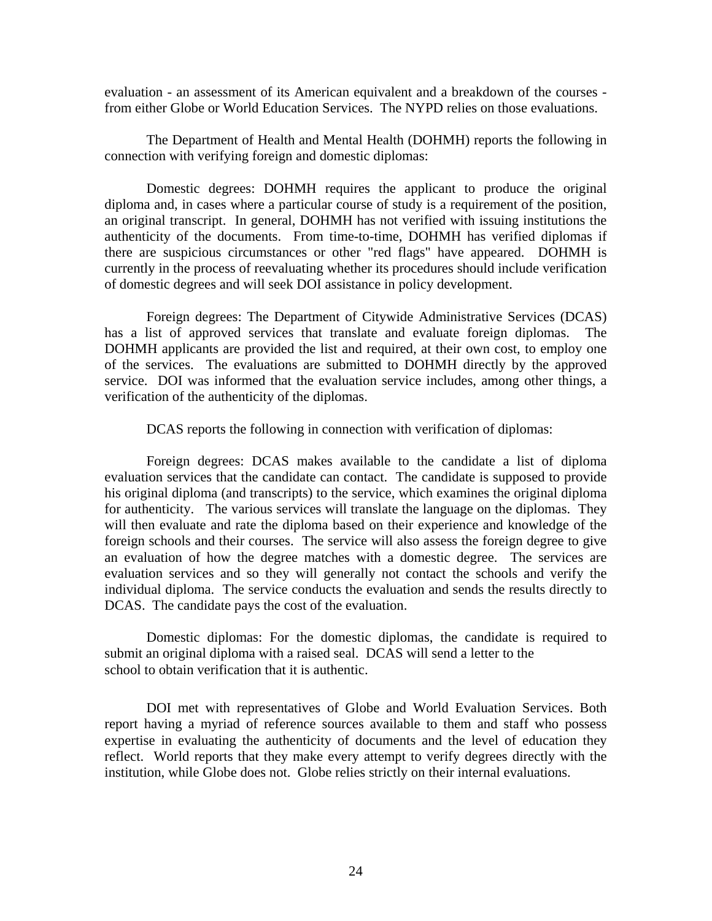evaluation - an assessment of its American equivalent and a breakdown of the courses from either Globe or World Education Services. The NYPD relies on those evaluations.

The Department of Health and Mental Health (DOHMH) reports the following in connection with verifying foreign and domestic diplomas:

Domestic degrees: DOHMH requires the applicant to produce the original diploma and, in cases where a particular course of study is a requirement of the position, an original transcript. In general, DOHMH has not verified with issuing institutions the authenticity of the documents. From time-to-time, DOHMH has verified diplomas if there are suspicious circumstances or other "red flags" have appeared. DOHMH is currently in the process of reevaluating whether its procedures should include verification of domestic degrees and will seek DOI assistance in policy development.

Foreign degrees: The Department of Citywide Administrative Services (DCAS) has a list of approved services that translate and evaluate foreign diplomas. The DOHMH applicants are provided the list and required, at their own cost, to employ one of the services. The evaluations are submitted to DOHMH directly by the approved service. DOI was informed that the evaluation service includes, among other things, a verification of the authenticity of the diplomas.

DCAS reports the following in connection with verification of diplomas:

Foreign degrees: DCAS makes available to the candidate a list of diploma evaluation services that the candidate can contact. The candidate is supposed to provide his original diploma (and transcripts) to the service, which examines the original diploma for authenticity. The various services will translate the language on the diplomas. They will then evaluate and rate the diploma based on their experience and knowledge of the foreign schools and their courses. The service will also assess the foreign degree to give an evaluation of how the degree matches with a domestic degree. The services are evaluation services and so they will generally not contact the schools and verify the individual diploma. The service conducts the evaluation and sends the results directly to DCAS. The candidate pays the cost of the evaluation.

Domestic diplomas: For the domestic diplomas, the candidate is required to submit an original diploma with a raised seal. DCAS will send a letter to the school to obtain verification that it is authentic.

DOI met with representatives of Globe and World Evaluation Services. Both report having a myriad of reference sources available to them and staff who possess expertise in evaluating the authenticity of documents and the level of education they reflect. World reports that they make every attempt to verify degrees directly with the institution, while Globe does not. Globe relies strictly on their internal evaluations.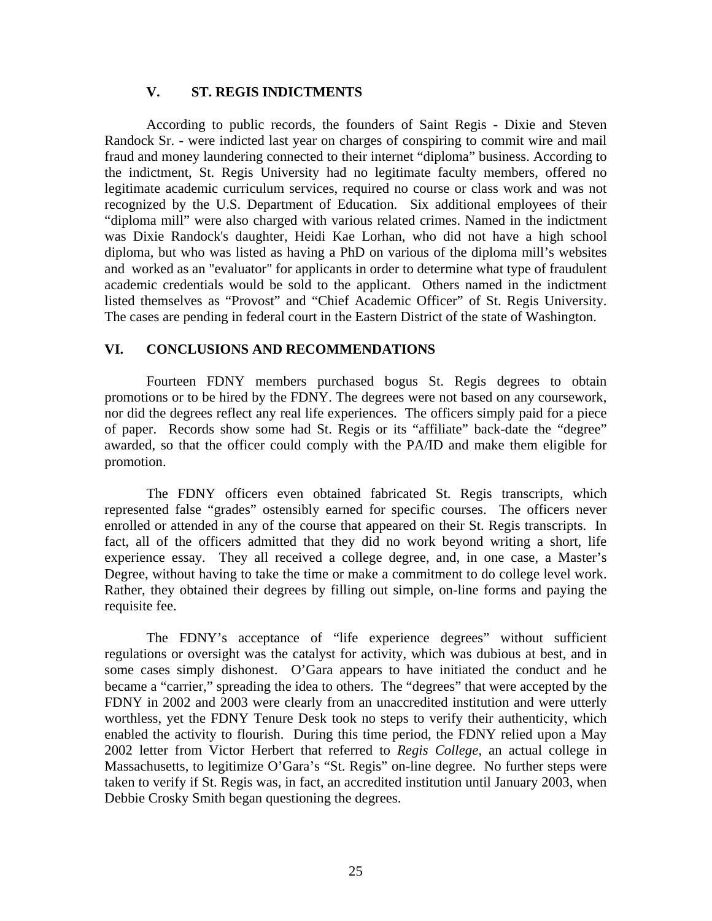# **V. ST. REGIS INDICTMENTS**

According to public records, the founders of Saint Regis - Dixie and Steven Randock Sr. - were indicted last year on charges of conspiring to commit wire and mail fraud and money laundering connected to their internet "diploma" business. According to the indictment, St. Regis University had no legitimate faculty members, offered no legitimate academic curriculum services, required no course or class work and was not recognized by the U.S. Department of Education. Six additional employees of their "diploma mill" were also charged with various related crimes. Named in the indictment was Dixie Randock's daughter, Heidi Kae Lorhan, who did not have a high school diploma, but who was listed as having a PhD on various of the diploma mill's websites and worked as an "evaluator" for applicants in order to determine what type of fraudulent academic credentials would be sold to the applicant. Others named in the indictment listed themselves as "Provost" and "Chief Academic Officer" of St. Regis University. The cases are pending in federal court in the Eastern District of the state of Washington.

# **VI. CONCLUSIONS AND RECOMMENDATIONS**

Fourteen FDNY members purchased bogus St. Regis degrees to obtain promotions or to be hired by the FDNY. The degrees were not based on any coursework, nor did the degrees reflect any real life experiences. The officers simply paid for a piece of paper. Records show some had St. Regis or its "affiliate" back-date the "degree" awarded, so that the officer could comply with the PA/ID and make them eligible for promotion.

 The FDNY officers even obtained fabricated St. Regis transcripts, which represented false "grades" ostensibly earned for specific courses. The officers never enrolled or attended in any of the course that appeared on their St. Regis transcripts. In fact, all of the officers admitted that they did no work beyond writing a short, life experience essay. They all received a college degree, and, in one case, a Master's Degree, without having to take the time or make a commitment to do college level work. Rather, they obtained their degrees by filling out simple, on-line forms and paying the requisite fee.

 The FDNY's acceptance of "life experience degrees" without sufficient regulations or oversight was the catalyst for activity, which was dubious at best, and in some cases simply dishonest. O'Gara appears to have initiated the conduct and he became a "carrier," spreading the idea to others. The "degrees" that were accepted by the FDNY in 2002 and 2003 were clearly from an unaccredited institution and were utterly worthless, yet the FDNY Tenure Desk took no steps to verify their authenticity, which enabled the activity to flourish. During this time period, the FDNY relied upon a May 2002 letter from Victor Herbert that referred to *Regis College,* an actual college in Massachusetts, to legitimize O'Gara's "St. Regis" on-line degree. No further steps were taken to verify if St. Regis was, in fact, an accredited institution until January 2003, when Debbie Crosky Smith began questioning the degrees.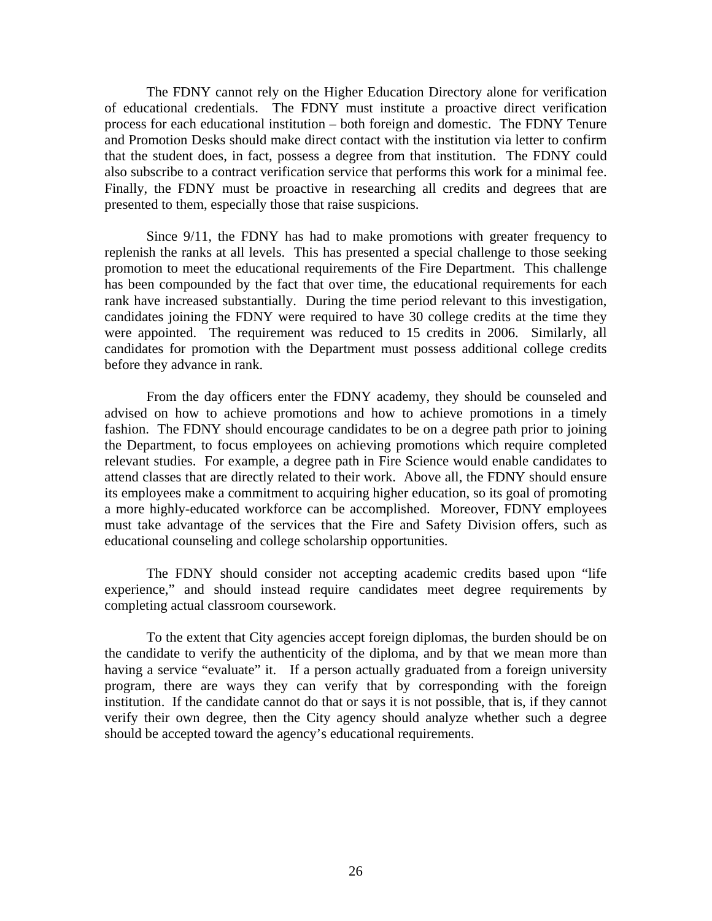The FDNY cannot rely on the Higher Education Directory alone for verification of educational credentials. The FDNY must institute a proactive direct verification process for each educational institution – both foreign and domestic. The FDNY Tenure and Promotion Desks should make direct contact with the institution via letter to confirm that the student does, in fact, possess a degree from that institution. The FDNY could also subscribe to a contract verification service that performs this work for a minimal fee. Finally, the FDNY must be proactive in researching all credits and degrees that are presented to them, especially those that raise suspicions.

 Since 9/11, the FDNY has had to make promotions with greater frequency to replenish the ranks at all levels. This has presented a special challenge to those seeking promotion to meet the educational requirements of the Fire Department. This challenge has been compounded by the fact that over time, the educational requirements for each rank have increased substantially. During the time period relevant to this investigation, candidates joining the FDNY were required to have 30 college credits at the time they were appointed. The requirement was reduced to 15 credits in 2006. Similarly, all candidates for promotion with the Department must possess additional college credits before they advance in rank.

 From the day officers enter the FDNY academy, they should be counseled and advised on how to achieve promotions and how to achieve promotions in a timely fashion. The FDNY should encourage candidates to be on a degree path prior to joining the Department, to focus employees on achieving promotions which require completed relevant studies. For example, a degree path in Fire Science would enable candidates to attend classes that are directly related to their work. Above all, the FDNY should ensure its employees make a commitment to acquiring higher education, so its goal of promoting a more highly-educated workforce can be accomplished. Moreover, FDNY employees must take advantage of the services that the Fire and Safety Division offers, such as educational counseling and college scholarship opportunities.

 The FDNY should consider not accepting academic credits based upon "life experience," and should instead require candidates meet degree requirements by completing actual classroom coursework.

 To the extent that City agencies accept foreign diplomas, the burden should be on the candidate to verify the authenticity of the diploma, and by that we mean more than having a service "evaluate" it. If a person actually graduated from a foreign university program, there are ways they can verify that by corresponding with the foreign institution. If the candidate cannot do that or says it is not possible, that is, if they cannot verify their own degree, then the City agency should analyze whether such a degree should be accepted toward the agency's educational requirements.